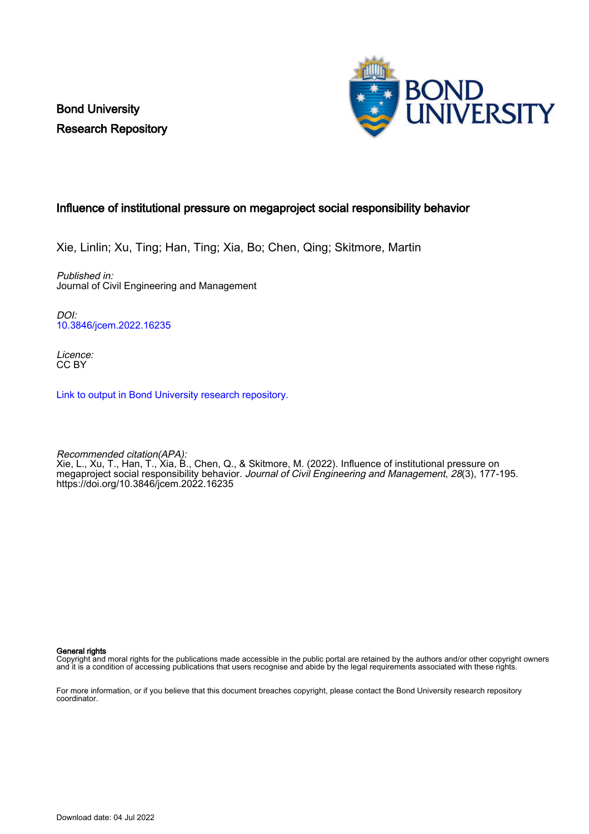Bond University Research Repository



# Influence of institutional pressure on megaproject social responsibility behavior

Xie, Linlin; Xu, Ting; Han, Ting; Xia, Bo; Chen, Qing; Skitmore, Martin

Published in: Journal of Civil Engineering and Management

DOI: [10.3846/jcem.2022.16235](https://doi.org/10.3846/jcem.2022.16235)

Licence: CC BY

[Link to output in Bond University research repository.](https://research.bond.edu.au/en/publications/0d3edcf2-42a7-4440-9d3e-8f4a442e4b32)

Recommended citation(APA): Xie, L., Xu, T., Han, T., Xia, B., Chen, Q., & Skitmore, M. (2022). Influence of institutional pressure on megaproject social responsibility behavior. Journal of Civil Engineering and Management, 28(3), 177-195. <https://doi.org/10.3846/jcem.2022.16235>

General rights

Copyright and moral rights for the publications made accessible in the public portal are retained by the authors and/or other copyright owners and it is a condition of accessing publications that users recognise and abide by the legal requirements associated with these rights.

For more information, or if you believe that this document breaches copyright, please contact the Bond University research repository coordinator.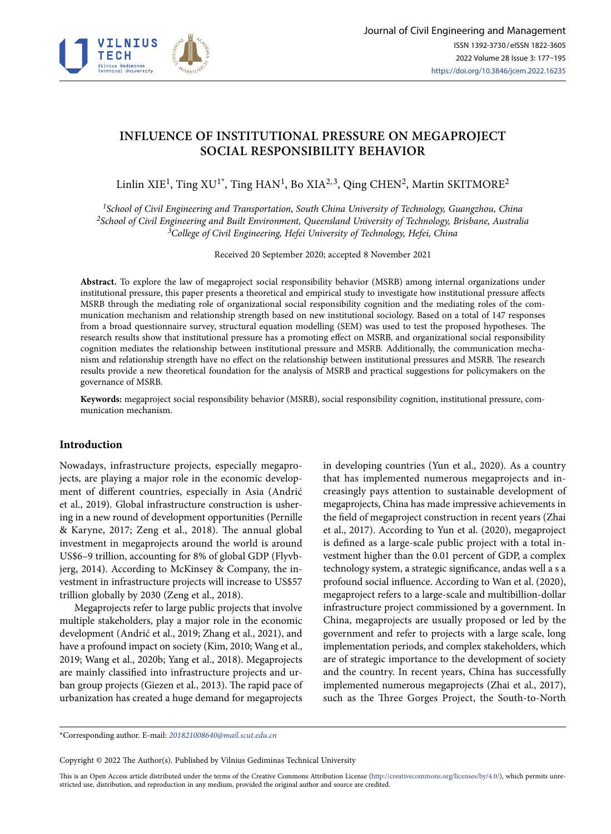

# **INFLUENCE OF INSTITUTIONAL PRESSURE ON MEGAPROJECT SOCIAL RESPONSIBILITY BEHAVIOR**

Linlin XIE<sup>1</sup>, Ting XU<sup>1\*</sup>, Ting HAN<sup>1</sup>, Bo XIA<sup>2,3</sup>, Qing CHEN<sup>2</sup>, Martin SKITMORE<sup>2</sup>

*<sup>1</sup>School of Civil Engineering and Transportation, South China University of Technology, Guangzhou, China <sup>2</sup>School of Civil Engineering and Built Environment, Queensland University of Technology, Brisbane, Australia <sup>3</sup>College of Civil Engineering, Hefei University of Technology, Hefei, China*

Received 20 September 2020; accepted 8 November 2021

**Abstract.** To explore the law of megaproject social responsibility behavior (MSRB) among internal organizations under institutional pressure, this paper presents a theoretical and empirical study to investigate how institutional pressure affects MSRB through the mediating role of organizational social responsibility cognition and the mediating roles of the communication mechanism and relationship strength based on new institutional sociology. Based on a total of 147 responses from a broad questionnaire survey, structural equation modelling (SEM) was used to test the proposed hypotheses. The research results show that institutional pressure has a promoting effect on MSRB, and organizational social responsibility cognition mediates the relationship between institutional pressure and MSRB. Additionally, the communication mechanism and relationship strength have no effect on the relationship between institutional pressures and MSRB. The research results provide a new theoretical foundation for the analysis of MSRB and practical suggestions for policymakers on the governance of MSRB.

**Keywords:** megaproject social responsibility behavior (MSRB), social responsibility cognition, institutional pressure, communication mechanism.

# **Introduction**

Nowadays, infrastructure projects, especially megaprojects, are playing a major role in the economic development of different countries, especially in Asia (Andrić et al., 2019). Global infrastructure construction is ushering in a new round of development opportunities (Pernille & Karyne, 2017; Zeng et al., 2018). The annual global investment in megaprojects around the world is around US\$6–9 trillion, accounting for 8% of global GDP (Flyvbjerg, 2014). According to McKinsey & Company, the investment in infrastructure projects will increase to US\$57 trillion globally by 2030 (Zeng et al., 2018).

Megaprojects refer to large public projects that involve multiple stakeholders, play a major role in the economic development (Andrić et al., 2019; Zhang et al., 2021), and have a profound impact on society (Kim, 2010; Wang et al., 2019; Wang et al., 2020b; Yang et al., 2018). Megaprojects are mainly classified into infrastructure projects and urban group projects (Giezen et al., 2013). The rapid pace of urbanization has created a huge demand for megaprojects in developing countries (Yun et al., 2020). As a country that has implemented numerous megaprojects and increasingly pays attention to sustainable development of megaprojects, China has made impressive achievements in the field of megaproject construction in recent years (Zhai et al., 2017). According to Yun et al. (2020), megaproject is defined as a large-scale public project with a total investment higher than the 0.01 percent of GDP, a complex technology system, a strategic significance, andas well a s a profound social influence. According to Wan et al. (2020), megaproject refers to a large-scale and multibillion-dollar infrastructure project commissioned by a government. In China, megaprojects are usually proposed or led by the government and refer to projects with a large scale, long implementation periods, and complex stakeholders, which are of strategic importance to the development of society and the country. In recent years, China has successfully implemented numerous megaprojects (Zhai et al., 2017), such as the Three Gorges Project, the South-to-North

\*Corresponding author. E-mail: *[201821008640@mail.scut.edu.cn](mailto:201821008640@mail.scut.edu.cn)*

Copyright © 2022 The Author(s). Published by Vilnius Gediminas Technical University

This is an Open Access article distributed under the terms of the Creative Commons Attribution License (<http://creativecommons.org/licenses/by/4.0/>), which permits unrestricted use, distribution, and reproduction in any medium, provided the original author and source are credited.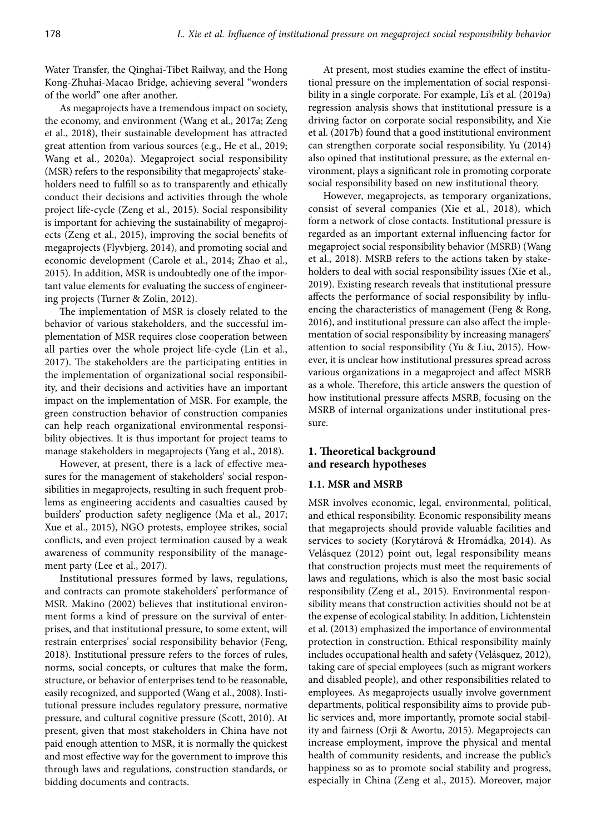Water Transfer, the Qinghai-Tibet Railway, and the Hong Kong-Zhuhai-Macao Bridge, achieving several "wonders of the world" one after another.

As megaprojects have a tremendous impact on society, the economy, and environment (Wang et al., 2017a; Zeng et al., 2018), their sustainable development has attracted great attention from various sources (e.g., He et al., 2019; Wang et al., 2020a). Megaproject social responsibility (MSR) refers to the responsibility that megaprojects' stakeholders need to fulfill so as to transparently and ethically conduct their decisions and activities through the whole project life-cycle (Zeng et al., 2015). Social responsibility is important for achieving the sustainability of megaprojects (Zeng et al., 2015), improving the social benefits of megaprojects (Flyvbjerg, 2014), and promoting social and economic development (Carole et al., 2014; Zhao et al., 2015). In addition, MSR is undoubtedly one of the important value elements for evaluating the success of engineering projects (Turner & Zolin, 2012).

The implementation of MSR is closely related to the behavior of various stakeholders, and the successful implementation of MSR requires close cooperation between all parties over the whole project life-cycle (Lin et al., 2017). The stakeholders are the participating entities in the implementation of organizational social responsibility, and their decisions and activities have an important impact on the implementation of MSR. For example, the green construction behavior of construction companies can help reach organizational environmental responsibility objectives. It is thus important for project teams to manage stakeholders in megaprojects (Yang et al., 2018).

However, at present, there is a lack of effective measures for the management of stakeholders' social responsibilities in megaprojects, resulting in such frequent problems as engineering accidents and casualties caused by builders' production safety negligence (Ma et al., 2017; Xue et al., 2015), NGO protests, employee strikes, social conflicts, and even project termination caused by a weak awareness of community responsibility of the management party (Lee et al., 2017).

Institutional pressures formed by laws, regulations, and contracts can promote stakeholders' performance of MSR. Makino (2002) believes that institutional environment forms a kind of pressure on the survival of enterprises, and that institutional pressure, to some extent, will restrain enterprises' social responsibility behavior (Feng, 2018). Institutional pressure refers to the forces of rules, norms, social concepts, or cultures that make the form, structure, or behavior of enterprises tend to be reasonable, easily recognized, and supported (Wang et al., 2008). Institutional pressure includes regulatory pressure, normative pressure, and cultural cognitive pressure (Scott, 2010). At present, given that most stakeholders in China have not paid enough attention to MSR, it is normally the quickest and most effective way for the government to improve this through laws and regulations, construction standards, or bidding documents and contracts.

At present, most studies examine the effect of institutional pressure on the implementation of social responsibility in a single corporate. For example, Li's et al. (2019a) regression analysis shows that institutional pressure is a driving factor on corporate social responsibility, and Xie et al. (2017b) found that a good institutional environment can strengthen corporate social responsibility. Yu (2014) also opined that institutional pressure, as the external environment, plays a significant role in promoting corporate social responsibility based on new institutional theory.

However, megaprojects, as temporary organizations, consist of several companies (Xie et al., 2018), which form a network of close contacts. Institutional pressure is regarded as an important external influencing factor for megaproject social responsibility behavior (MSRB) (Wang et al., 2018). MSRB refers to the actions taken by stakeholders to deal with social responsibility issues (Xie et al., 2019). Existing research reveals that institutional pressure affects the performance of social responsibility by influencing the characteristics of management (Feng & Rong, 2016), and institutional pressure can also affect the implementation of social responsibility by increasing managers' attention to social responsibility (Yu & Liu, 2015). However, it is unclear how institutional pressures spread across various organizations in a megaproject and affect MSRB as a whole. Therefore, this article answers the question of how institutional pressure affects MSRB, focusing on the MSRB of internal organizations under institutional pressure.

# **1. Theoretical background and research hypotheses**

# **1.1. MSR and MSRB**

MSR involves economic, legal, environmental, political, and ethical responsibility. Economic responsibility means that megaprojects should provide valuable facilities and services to society (Korytárová & Hromádka, 2014). As Velásquez (2012) point out, legal responsibility means that construction projects must meet the requirements of laws and regulations, which is also the most basic social responsibility (Zeng et al., 2015). Environmental responsibility means that construction activities should not be at the expense of ecological stability. In addition, Lichtenstein et al. (2013) emphasized the importance of environmental protection in construction. Ethical responsibility mainly includes occupational health and safety (Velásquez, 2012), taking care of special employees (such as migrant workers and disabled people), and other responsibilities related to employees. As megaprojects usually involve government departments, political responsibility aims to provide public services and, more importantly, promote social stability and fairness (Orji & Awortu, 2015). Megaprojects can increase employment, improve the physical and mental health of community residents, and increase the public's happiness so as to promote social stability and progress, especially in China (Zeng et al., 2015). Moreover, major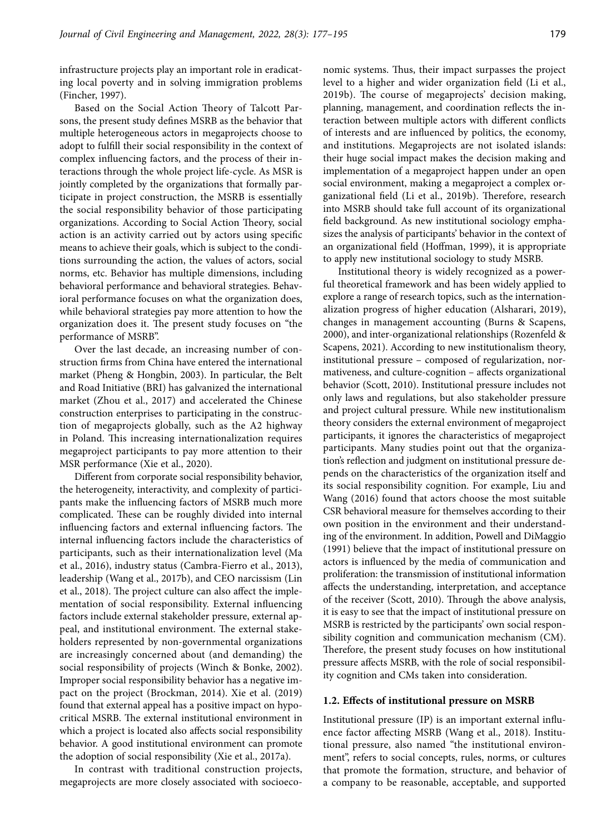infrastructure projects play an important role in eradicating local poverty and in solving immigration problems (Fincher, 1997).

Based on the Social Action Theory of Talcott Parsons, the present study defines MSRB as the behavior that multiple heterogeneous actors in megaprojects choose to adopt to fulfill their social responsibility in the context of complex influencing factors, and the process of their interactions through the whole project life-cycle. As MSR is jointly completed by the organizations that formally participate in project construction, the MSRB is essentially the social responsibility behavior of those participating organizations. According to Social Action Theory, social action is an activity carried out by actors using specific means to achieve their goals, which is subject to the conditions surrounding the action, the values of actors, social norms, etc. Behavior has multiple dimensions, including behavioral performance and behavioral strategies. Behavioral performance focuses on what the organization does, while behavioral strategies pay more attention to how the organization does it. The present study focuses on "the performance of MSRB".

Over the last decade, an increasing number of construction firms from China have entered the international market (Pheng & Hongbin, 2003). In particular, the Belt and Road Initiative (BRI) has galvanized the international market (Zhou et al., 2017) and accelerated the Chinese construction enterprises to participating in the construction of megaprojects globally, such as the A2 highway in Poland. This increasing internationalization requires megaproject participants to pay more attention to their MSR performance (Xie et al., 2020).

Different from corporate social responsibility behavior, the heterogeneity, interactivity, and complexity of participants make the influencing factors of MSRB much more complicated. These can be roughly divided into internal influencing factors and external influencing factors. The internal influencing factors include the characteristics of participants, such as their internationalization level (Ma et al., 2016), industry status (Cambra-Fierro et al., 2013), leadership (Wang et al., 2017b), and CEO narcissism (Lin et al., 2018). The project culture can also affect the implementation of social responsibility. External influencing factors include external stakeholder pressure, external appeal, and institutional environment. The external stakeholders represented by non-governmental organizations are increasingly concerned about (and demanding) the social responsibility of projects (Winch & Bonke, 2002). Improper social responsibility behavior has a negative impact on the project (Brockman, 2014). Xie et al. (2019) found that external appeal has a positive impact on hypocritical MSRB. The external institutional environment in which a project is located also affects social responsibility behavior. A good institutional environment can promote the adoption of social responsibility (Xie et al., 2017a).

In contrast with traditional construction projects, megaprojects are more closely associated with socioeco-

nomic systems. Thus, their impact surpasses the project level to a higher and wider organization field (Li et al., 2019b). The course of megaprojects' decision making, planning, management, and coordination reflects the interaction between multiple actors with different conflicts of interests and are influenced by politics, the economy, and institutions. Megaprojects are not isolated islands: their huge social impact makes the decision making and implementation of a megaproject happen under an open social environment, making a megaproject a complex organizational field (Li et al., 2019b). Therefore, research into MSRB should take full account of its organizational field background. As new institutional sociology emphasizes the analysis of participants' behavior in the context of an organizational field (Hoffman, 1999), it is appropriate to apply new institutional sociology to study MSRB.

Institutional theory is widely recognized as a powerful theoretical framework and has been widely applied to explore a range of research topics, such as the internationalization progress of higher education (Alsharari, 2019), changes in management accounting (Burns & Scapens, 2000), and inter-organizational relationships (Rozenfeld & Scapens, 2021). According to new institutionalism theory, institutional pressure – composed of regularization, normativeness, and culture-cognition – affects organizational behavior (Scott, 2010). Institutional pressure includes not only laws and regulations, but also stakeholder pressure and project cultural pressure. While new institutionalism theory considers the external environment of megaproject participants, it ignores the characteristics of megaproject participants. Many studies point out that the organization's reflection and judgment on institutional pressure depends on the characteristics of the organization itself and its social responsibility cognition. For example, Liu and Wang (2016) found that actors choose the most suitable CSR behavioral measure for themselves according to their own position in the environment and their understanding of the environment. In addition, Powell and DiMaggio (1991) believe that the impact of institutional pressure on actors is influenced by the media of communication and proliferation: the transmission of institutional information affects the understanding, interpretation, and acceptance of the receiver (Scott, 2010). Through the above analysis, it is easy to see that the impact of institutional pressure on MSRB is restricted by the participants' own social responsibility cognition and communication mechanism (CM). Therefore, the present study focuses on how institutional pressure affects MSRB, with the role of social responsibility cognition and CMs taken into consideration.

#### **1.2. Effects of institutional pressure on MSRB**

Institutional pressure (IP) is an important external influence factor affecting MSRB (Wang et al., 2018). Institutional pressure, also named "the institutional environment", refers to social concepts, rules, norms, or cultures that promote the formation, structure, and behavior of a company to be reasonable, acceptable, and supported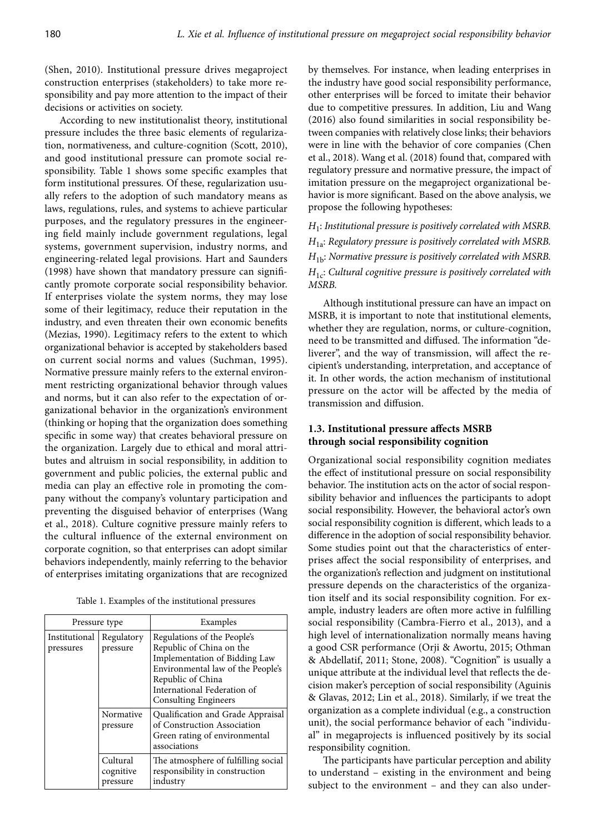(Shen, 2010). Institutional pressure drives megaproject construction enterprises (stakeholders) to take more responsibility and pay more attention to the impact of their decisions or activities on society.

According to new institutionalist theory, institutional pressure includes the three basic elements of regularization, normativeness, and culture-cognition (Scott, 2010), and good institutional pressure can promote social responsibility. Table 1 shows some specific examples that form institutional pressures. Of these, regularization usually refers to the adoption of such mandatory means as laws, regulations, rules, and systems to achieve particular purposes, and the regulatory pressures in the engineering field mainly include government regulations, legal systems, government supervision, industry norms, and engineering-related legal provisions. Hart and Saunders (1998) have shown that mandatory pressure can significantly promote corporate social responsibility behavior. If enterprises violate the system norms, they may lose some of their legitimacy, reduce their reputation in the industry, and even threaten their own economic benefits (Mezias, 1990). Legitimacy refers to the extent to which organizational behavior is accepted by stakeholders based on current social norms and values (Suchman, 1995). Normative pressure mainly refers to the external environment restricting organizational behavior through values and norms, but it can also refer to the expectation of organizational behavior in the organization's environment (thinking or hoping that the organization does something specific in some way) that creates behavioral pressure on the organization. Largely due to ethical and moral attributes and altruism in social responsibility, in addition to government and public policies, the external public and media can play an effective role in promoting the company without the company's voluntary participation and preventing the disguised behavior of enterprises (Wang et al., 2018). Culture cognitive pressure mainly refers to the cultural influence of the external environment on corporate cognition, so that enterprises can adopt similar behaviors independently, mainly referring to the behavior of enterprises imitating organizations that are recognized

Table 1. Examples of the institutional pressures

| Pressure type              |                                   | Examples                                                                                                                                                                                                         |  |
|----------------------------|-----------------------------------|------------------------------------------------------------------------------------------------------------------------------------------------------------------------------------------------------------------|--|
| Institutional<br>pressures | Regulatory<br>pressure            | Regulations of the People's<br>Republic of China on the<br>Implementation of Bidding Law<br>Environmental law of the People's<br>Republic of China<br>International Federation of<br><b>Consulting Engineers</b> |  |
|                            | Normative<br>pressure             | Qualification and Grade Appraisal<br>of Construction Association<br>Green rating of environmental<br>associations                                                                                                |  |
|                            | Cultural<br>cognitive<br>pressure | The atmosphere of fulfilling social<br>responsibility in construction<br>industry                                                                                                                                |  |

by themselves. For instance, when leading enterprises in the industry have good social responsibility performance, other enterprises will be forced to imitate their behavior due to competitive pressures. In addition, Liu and Wang (2016) also found similarities in social responsibility between companies with relatively close links; their behaviors were in line with the behavior of core companies (Chen et al., 2018). Wang et al. (2018) found that, compared with regulatory pressure and normative pressure, the impact of imitation pressure on the megaproject organizational behavior is more significant. Based on the above analysis, we propose the following hypotheses:

*H*1: *Institutional pressure is positively correlated with MSRB. H*1a: *Regulatory pressure is positively correlated with MSRB. H*1b: *Normative pressure is positively correlated with MSRB. H*1c: *Cultural cognitive pressure is positively correlated with MSRB.*

Although institutional pressure can have an impact on MSRB, it is important to note that institutional elements, whether they are regulation, norms, or culture-cognition, need to be transmitted and diffused. The information "deliverer", and the way of transmission, will affect the recipient's understanding, interpretation, and acceptance of it. In other words, the action mechanism of institutional pressure on the actor will be affected by the media of transmission and diffusion.

# **1.3. Institutional pressure affects MSRB through social responsibility cognition**

Organizational social responsibility cognition mediates the effect of institutional pressure on social responsibility behavior. The institution acts on the actor of social responsibility behavior and influences the participants to adopt social responsibility. However, the behavioral actor's own social responsibility cognition is different, which leads to a difference in the adoption of social responsibility behavior. Some studies point out that the characteristics of enterprises affect the social responsibility of enterprises, and the organization's reflection and judgment on institutional pressure depends on the characteristics of the organization itself and its social responsibility cognition. For example, industry leaders are often more active in fulfilling social responsibility (Cambra-Fierro et al., 2013), and a high level of internationalization normally means having a good CSR performance (Orji & Awortu, 2015; Othman & Abdellatif, 2011; Stone, 2008). "Cognition" is usually a unique attribute at the individual level that reflects the decision maker's perception of social responsibility (Aguinis & Glavas, 2012; Lin et al., 2018). Similarly, if we treat the organization as a complete individual (e.g., a construction unit), the social performance behavior of each "individual" in megaprojects is influenced positively by its social responsibility cognition.

The participants have particular perception and ability to understand – existing in the environment and being subject to the environment - and they can also under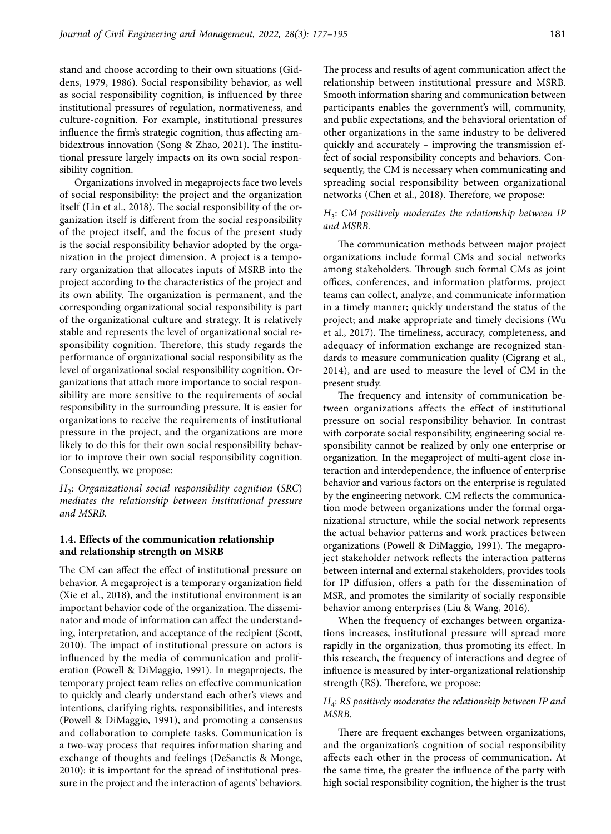stand and choose according to their own situations (Giddens, 1979, 1986). Social responsibility behavior, as well as social responsibility cognition, is influenced by three institutional pressures of regulation, normativeness, and culture-cognition. For example, institutional pressures influence the firm's strategic cognition, thus affecting ambidextrous innovation (Song & Zhao, 2021). The institutional pressure largely impacts on its own social responsibility cognition.

Organizations involved in megaprojects face two levels of social responsibility: the project and the organization itself (Lin et al., 2018). The social responsibility of the organization itself is different from the social responsibility of the project itself, and the focus of the present study is the social responsibility behavior adopted by the organization in the project dimension. A project is a temporary organization that allocates inputs of MSRB into the project according to the characteristics of the project and its own ability. The organization is permanent, and the corresponding organizational social responsibility is part of the organizational culture and strategy. It is relatively stable and represents the level of organizational social responsibility cognition. Therefore, this study regards the performance of organizational social responsibility as the level of organizational social responsibility cognition. Organizations that attach more importance to social responsibility are more sensitive to the requirements of social responsibility in the surrounding pressure. It is easier for organizations to receive the requirements of institutional pressure in the project, and the organizations are more likely to do this for their own social responsibility behavior to improve their own social responsibility cognition. Consequently, we propose:

*H*2: *Organizational social responsibility cognition* (*SRC*) *mediates the relationship between institutional pressure and MSRB.*

# **1.4. Effects of the communication relationship and relationship strength on MSRB**

The CM can affect the effect of institutional pressure on behavior. A megaproject is a temporary organization field (Xie et al., 2018), and the institutional environment is an important behavior code of the organization. The disseminator and mode of information can affect the understanding, interpretation, and acceptance of the recipient (Scott, 2010). The impact of institutional pressure on actors is influenced by the media of communication and proliferation (Powell & DiMaggio, 1991). In megaprojects, the temporary project team relies on effective communication to quickly and clearly understand each other's views and intentions, clarifying rights, responsibilities, and interests (Powell & DiMaggio, 1991), and promoting a consensus and collaboration to complete tasks. Communication is a two-way process that requires information sharing and exchange of thoughts and feelings (DeSanctis & Monge, 2010): it is important for the spread of institutional pressure in the project and the interaction of agents' behaviors.

The process and results of agent communication affect the relationship between institutional pressure and MSRB. Smooth information sharing and communication between participants enables the government's will, community, and public expectations, and the behavioral orientation of other organizations in the same industry to be delivered quickly and accurately – improving the transmission effect of social responsibility concepts and behaviors. Consequently, the CM is necessary when communicating and spreading social responsibility between organizational networks (Chen et al., 2018). Therefore, we propose:

# *H*3: *CM positively moderates the relationship between IP and MSRB.*

The communication methods between major project organizations include formal CMs and social networks among stakeholders. Through such formal CMs as joint offices, conferences, and information platforms, project teams can collect, analyze, and communicate information in a timely manner; quickly understand the status of the project; and make appropriate and timely decisions (Wu et al., 2017). The timeliness, accuracy, completeness, and adequacy of information exchange are recognized standards to measure communication quality (Cigrang et al., 2014), and are used to measure the level of CM in the present study.

The frequency and intensity of communication between organizations affects the effect of institutional pressure on social responsibility behavior. In contrast with corporate social responsibility, engineering social responsibility cannot be realized by only one enterprise or organization. In the megaproject of multi-agent close interaction and interdependence, the influence of enterprise behavior and various factors on the enterprise is regulated by the engineering network. CM reflects the communication mode between organizations under the formal organizational structure, while the social network represents the actual behavior patterns and work practices between organizations (Powell & DiMaggio, 1991). The megaproject stakeholder network reflects the interaction patterns between internal and external stakeholders, provides tools for IP diffusion, offers a path for the dissemination of MSR, and promotes the similarity of socially responsible behavior among enterprises (Liu & Wang, 2016).

When the frequency of exchanges between organizations increases, institutional pressure will spread more rapidly in the organization, thus promoting its effect. In this research, the frequency of interactions and degree of influence is measured by inter-organizational relationship strength (RS). Therefore, we propose:

# *H*4: *RS positively moderates the relationship between IP and MSRB.*

There are frequent exchanges between organizations, and the organization's cognition of social responsibility affects each other in the process of communication. At the same time, the greater the influence of the party with high social responsibility cognition, the higher is the trust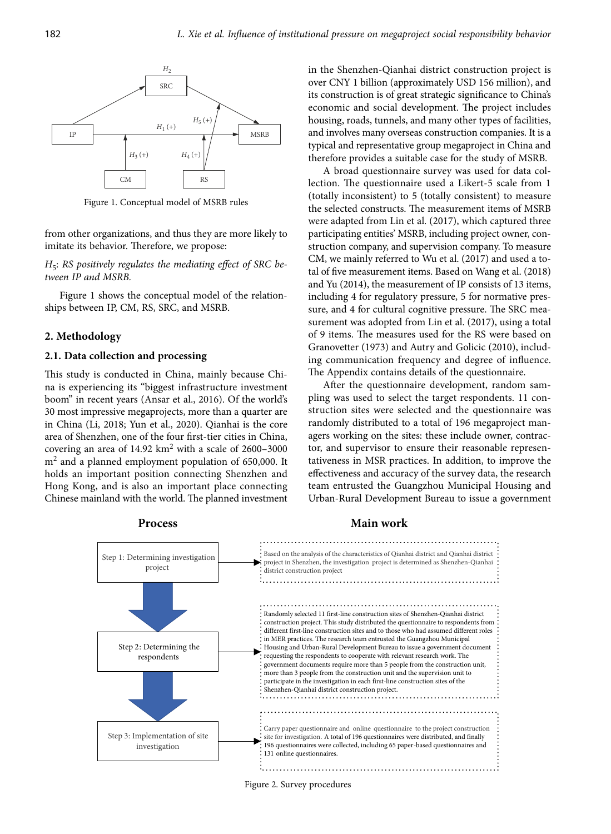

Figure 1. Conceptual model of MSRB rules

from other organizations, and thus they are more likely to imitate its behavior. Therefore, we propose:

H<sub>5</sub>: RS positively regulates the mediating effect of SRC be*tween IP and MSRB.*

Figure 1 shows the conceptual model of the relationships between IP, CM, RS, SRC, and MSRB.

### **2. Methodology**

### **2.1. Data collection and processing**

This study is conducted in China, mainly because China is experiencing its "biggest infrastructure investment boom" in recent years (Ansar et al., 2016). Of the world's 30 most impressive megaprojects, more than a quarter are in China (Li, 2018; Yun et al., 2020). Qianhai is the core area of Shenzhen, one of the four first-tier cities in China, covering an area of 14.92 km<sup>2</sup> with a scale of 2600-3000  $m<sup>2</sup>$  and a planned employment population of 650,000. It holds an important position connecting Shenzhen and Hong Kong, and is also an important place connecting Chinese mainland with the world. The planned investment

in the Shenzhen-Qianhai district construction project is over CNY 1 billion (approximately USD 156 million), and its construction is of great strategic significance to China's economic and social development. The project includes housing, roads, tunnels, and many other types of facilities, and involves many overseas construction companies. It is a typical and representative group megaproject in China and therefore provides a suitable case for the study of MSRB.

A broad questionnaire survey was used for data collection. The questionnaire used a Likert-5 scale from 1 (totally inconsistent) to 5 (totally consistent) to measure the selected constructs. The measurement items of MSRB were adapted from Lin et al. (2017), which captured three participating entities' MSRB, including project owner, construction company, and supervision company. To measure CM, we mainly referred to Wu et al. (2017) and used a total of five measurement items. Based on Wang et al. (2018) and Yu (2014), the measurement of IP consists of 13 items, including 4 for regulatory pressure, 5 for normative pressure, and 4 for cultural cognitive pressure. The SRC measurement was adopted from Lin et al. (2017), using a total of 9 items. The measures used for the RS were based on Granovetter (1973) and Autry and Golicic (2010), including communication frequency and degree of influence. The Appendix contains details of the questionnaire.

After the questionnaire development, random sampling was used to select the target respondents. 11 construction sites were selected and the questionnaire was randomly distributed to a total of 196 megaproject managers working on the sites: these include owner, contractor, and supervisor to ensure their reasonable representativeness in MSR practices. In addition, to improve the effectiveness and accuracy of the survey data, the research team entrusted the Guangzhou Municipal Housing and Urban-Rural Development Bureau to issue a government



#### **Process Main work**

Figure 2. Survey procedures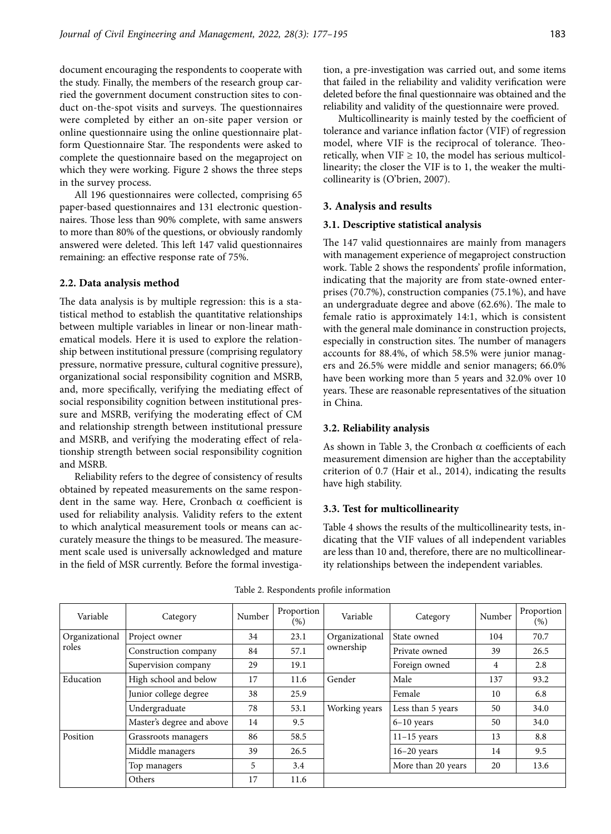document encouraging the respondents to cooperate with the study. Finally, the members of the research group carried the government document construction sites to conduct on-the-spot visits and surveys. The questionnaires were completed by either an on-site paper version or online questionnaire using the online questionnaire platform Questionnaire Star. The respondents were asked to complete the questionnaire based on the megaproject on which they were working. Figure 2 shows the three steps in the survey process.

All 196 questionnaires were collected, comprising 65 paper-based questionnaires and 131 electronic questionnaires. Those less than 90% complete, with same answers to more than 80% of the questions, or obviously randomly answered were deleted. This left 147 valid questionnaires remaining: an effective response rate of 75%.

### **2.2. Data analysis method**

The data analysis is by multiple regression: this is a statistical method to establish the quantitative relationships between multiple variables in linear or non-linear mathematical models. Here it is used to explore the relationship between institutional pressure (comprising regulatory pressure, normative pressure, cultural cognitive pressure), organizational social responsibility cognition and MSRB, and, more specifically, verifying the mediating effect of social responsibility cognition between institutional pressure and MSRB, verifying the moderating effect of CM and relationship strength between institutional pressure and MSRB, and verifying the moderating effect of relationship strength between social responsibility cognition and MSRB.

Reliability refers to the degree of consistency of results obtained by repeated measurements on the same respondent in the same way. Here, Cronbach  $\alpha$  coefficient is used for reliability analysis. Validity refers to the extent to which analytical measurement tools or means can accurately measure the things to be measured. The measurement scale used is universally acknowledged and mature in the field of MSR currently. Before the formal investigation, a pre-investigation was carried out, and some items that failed in the reliability and validity verification were deleted before the final questionnaire was obtained and the reliability and validity of the questionnaire were proved.

Multicollinearity is mainly tested by the coefficient of tolerance and variance inflation factor (VIF) of regression model, where VIF is the reciprocal of tolerance. Theoretically, when  $VIF \geq 10$ , the model has serious multicollinearity; the closer the VIF is to 1, the weaker the multicollinearity is (O'brien, 2007).

#### **3. Analysis and results**

#### **3.1. Descriptive statistical analysis**

The 147 valid questionnaires are mainly from managers with management experience of megaproject construction work. Table 2 shows the respondents' profile information, indicating that the majority are from state-owned enterprises (70.7%), construction companies (75.1%), and have an undergraduate degree and above (62.6%). The male to female ratio is approximately 14:1, which is consistent with the general male dominance in construction projects, especially in construction sites. The number of managers accounts for 88.4%, of which 58.5% were junior managers and 26.5% were middle and senior managers; 66.0% have been working more than 5 years and 32.0% over 10 years. These are reasonable representatives of the situation in China.

#### **3.2. Reliability analysis**

As shown in Table 3, the Cronbach  $\alpha$  coefficients of each measurement dimension are higher than the acceptability criterion of 0.7 (Hair et al., 2014), indicating the results have high stability.

### **3.3. Test for multicollinearity**

Table 4 shows the results of the multicollinearity tests, indicating that the VIF values of all independent variables are less than 10 and, therefore, there are no multicollinearity relationships between the independent variables.

| Variable       | Category                  | Number | Proportion<br>$(\%)$ | Variable       | Category           | Number | Proportion<br>$(\% )$ |
|----------------|---------------------------|--------|----------------------|----------------|--------------------|--------|-----------------------|
| Organizational | Project owner             | 34     | 23.1                 | Organizational | State owned        | 104    | 70.7                  |
| roles          | Construction company      | 84     | 57.1                 | ownership      | Private owned      | 39     | 26.5                  |
|                | Supervision company       | 29     | 19.1                 |                | Foreign owned      | 4      | 2.8                   |
| Education      | High school and below     | 17     | 11.6                 | Gender         | Male               | 137    | 93.2                  |
|                | Junior college degree     | 38     | 25.9                 |                | Female             | 10     | 6.8                   |
|                | Undergraduate             | 78     | 53.1                 | Working years  | Less than 5 years  | 50     | 34.0                  |
|                | Master's degree and above | 14     | 9.5                  |                | $6-10$ years       | 50     | 34.0                  |
| Position       | Grassroots managers       | 86     | 58.5                 |                | $11-15$ years      | 13     | 8.8                   |
|                | Middle managers           | 39     | 26.5                 |                | $16-20$ years      | 14     | 9.5                   |
|                | Top managers              | 5      | 3.4                  |                | More than 20 years | 20     | 13.6                  |
|                | Others                    | 17     | 11.6                 |                |                    |        |                       |

Table 2. Respondents profile information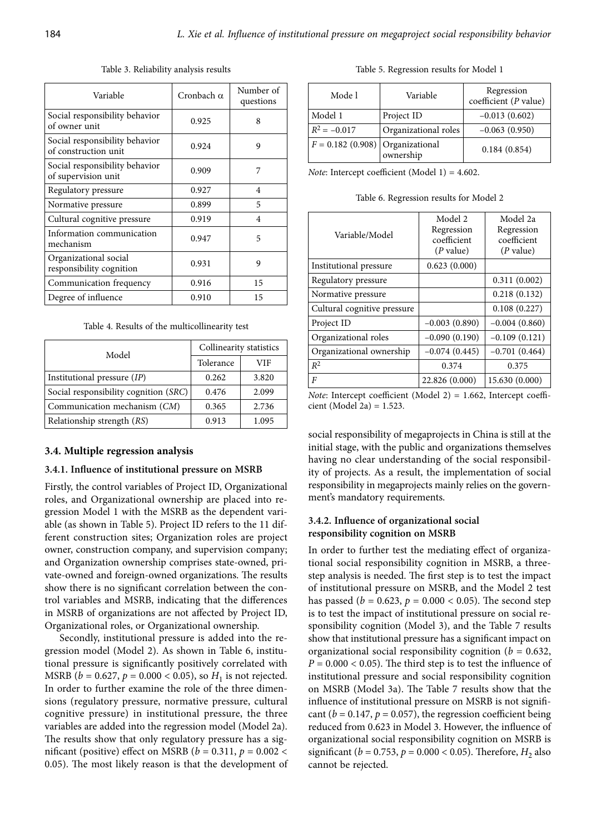| Variable                                               | Cronbach $\alpha$ | Number of<br>questions |
|--------------------------------------------------------|-------------------|------------------------|
| Social responsibility behavior<br>of owner unit        | 0.925             | 8                      |
| Social responsibility behavior<br>of construction unit | 0.924             | 9                      |
| Social responsibility behavior<br>of supervision unit  | 0.909             | 7                      |
| Regulatory pressure                                    | 0.927             | 4                      |
| Normative pressure                                     | 0.899             | 5                      |
| Cultural cognitive pressure                            | 0.919             | $\overline{4}$         |
| Information communication<br>mechanism                 | 0.947             | 5                      |
| Organizational social<br>responsibility cognition      | 0.931             | 9                      |
| Communication frequency                                | 0.916             | 15                     |
| Degree of influence                                    | 0.910             | 15                     |

Table 3. Reliability analysis results

Table 4. Results of the multicollinearity test

| Model                                 | Collinearity statistics |       |  |
|---------------------------------------|-------------------------|-------|--|
|                                       | Tolerance               | VIF   |  |
| Institutional pressure $(IP)$         | 0.262                   | 3.820 |  |
| Social responsibility cognition (SRC) | 0.476                   | 2.099 |  |
| Communication mechanism (CM)          | 0.365                   | 2.736 |  |
| Relationship strength (RS)            | 0.913                   | 1.095 |  |

#### **3.4. Multiple regression analysis**

#### **3.4.1. Influence of institutional pressure on MSRB**

Firstly, the control variables of Project ID, Organizational roles, and Organizational ownership are placed into regression Model 1 with the MSRB as the dependent variable (as shown in Table 5). Project ID refers to the 11 different construction sites; Organization roles are project owner, construction company, and supervision company; and Organization ownership comprises state-owned, private-owned and foreign-owned organizations. The results show there is no significant correlation between the control variables and MSRB, indicating that the differences in MSRB of organizations are not affected by Project ID, Organizational roles, or Organizational ownership.

Secondly, institutional pressure is added into the regression model (Model 2). As shown in Table 6, institutional pressure is significantly positively correlated with MSRB ( $b = 0.627$ ,  $p = 0.000 < 0.05$ ), so  $H<sub>1</sub>$  is not rejected. In order to further examine the role of the three dimensions (regulatory pressure, normative pressure, cultural cognitive pressure) in institutional pressure, the three variables are added into the regression model (Model 2a). The results show that only regulatory pressure has a significant (positive) effect on MSRB ( $b = 0.311$ ,  $p = 0.002$  < 0.05). The most likely reason is that the development of

Table 5. Regression results for Model 1

| Mode l                             | Variable             | Regression<br>coefficient (P value) |
|------------------------------------|----------------------|-------------------------------------|
| Model 1                            | Project ID           | $-0.013(0.602)$                     |
| $R^2 = -0.017$                     | Organizational roles | $-0.063(0.950)$                     |
| $F = 0.182$ (0.908) Organizational | ownership            | 0.184(0.854)                        |

*Note*: Intercept coefficient (Model 1) = 4.602.

Table 6. Regression results for Model 2

| Variable/Model              | Model 2<br>Regression<br>coefficient<br>$(P$ value) | Model 2a<br>Regression<br>coefficient<br>$(P$ value) |
|-----------------------------|-----------------------------------------------------|------------------------------------------------------|
| Institutional pressure      | 0.623(0.000)                                        |                                                      |
| Regulatory pressure         |                                                     | 0.311(0.002)                                         |
| Normative pressure          |                                                     | 0.218(0.132)                                         |
| Cultural cognitive pressure |                                                     | 0.108(0.227)                                         |
| Project ID                  | $-0.003(0.890)$                                     | $-0.004(0.860)$                                      |
| Organizational roles        | $-0.090(0.190)$                                     | $-0.109(0.121)$                                      |
| Organizational ownership    | $-0.074(0.445)$                                     | $-0.701(0.464)$                                      |
| $R^2$                       | 0.374                                               | 0.375                                                |
| F                           | 22.826 (0.000)                                      | 15.630 (0.000)                                       |

*Note*: Intercept coefficient (Model 2) = 1.662, Intercept coefficient (Model 2a) =  $1.523$ .

social responsibility of megaprojects in China is still at the initial stage, with the public and organizations themselves having no clear understanding of the social responsibility of projects. As a result, the implementation of social responsibility in megaprojects mainly relies on the government's mandatory requirements.

# **3.4.2. Influence of organizational social responsibility cognition on MSRB**

In order to further test the mediating effect of organizational social responsibility cognition in MSRB, a threestep analysis is needed. The first step is to test the impact of institutional pressure on MSRB, and the Model 2 test has passed ( $b = 0.623$ ,  $p = 0.000 < 0.05$ ). The second step is to test the impact of institutional pressure on social responsibility cognition (Model 3), and the Table 7 results show that institutional pressure has a significant impact on organizational social responsibility cognition (*b* = 0.632,  $P = 0.000 < 0.05$ . The third step is to test the influence of institutional pressure and social responsibility cognition on MSRB (Model 3a). The Table 7 results show that the influence of institutional pressure on MSRB is not significant ( $b = 0.147$ ,  $p = 0.057$ ), the regression coefficient being reduced from 0.623 in Model 3. However, the influence of organizational social responsibility cognition on MSRB is significant (*b* = 0.753, *p* = 0.000 < 0.05). Therefore,  $H_2$  also cannot be rejected.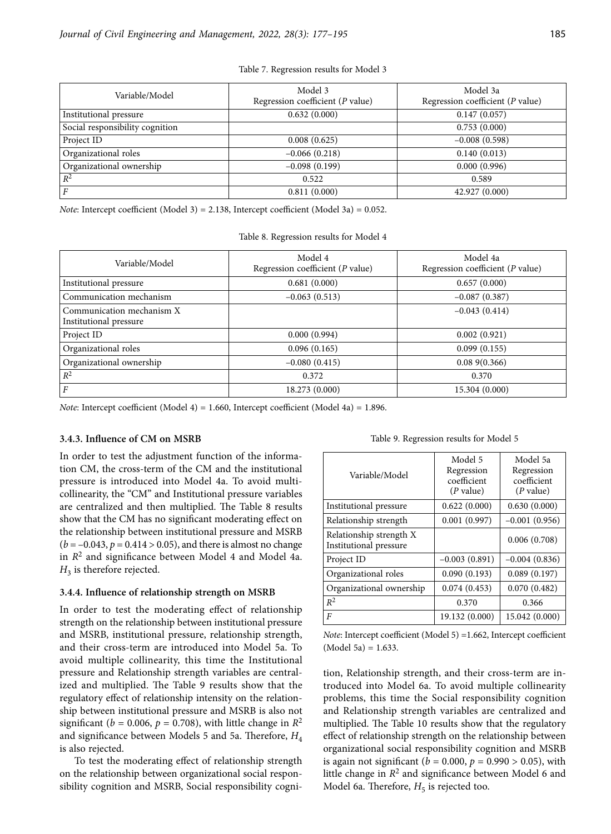| Variable/Model                  | Model 3<br>Regression coefficient ( $P$ value) | Model 3a<br>Regression coefficient ( $P$ value) |
|---------------------------------|------------------------------------------------|-------------------------------------------------|
| Institutional pressure          | 0.632(0.000)                                   | 0.147(0.057)                                    |
| Social responsibility cognition |                                                | 0.753(0.000)                                    |
| Project ID                      | 0.008(0.625)                                   | $-0.008(0.598)$                                 |
| Organizational roles            | $-0.066(0.218)$                                | 0.140(0.013)                                    |
| Organizational ownership        | $-0.098(0.199)$                                | 0.000(0.996)                                    |
| $R^2$                           | 0.522                                          | 0.589                                           |
| F                               | 0.811(0.000)                                   | 42.927 (0.000)                                  |

*Note*: Intercept coefficient (Model 3) = 2.138, Intercept coefficient (Model 3a) = 0.052.

|  | Table 8. Regression results for Model 4 |  |  |  |  |
|--|-----------------------------------------|--|--|--|--|
|--|-----------------------------------------|--|--|--|--|

| Variable/Model                                      | Model 4<br>Regression coefficient $(P$ value) | Model 4a<br>Regression coefficient (P value) |
|-----------------------------------------------------|-----------------------------------------------|----------------------------------------------|
| Institutional pressure                              | 0.681(0.000)                                  | 0.657(0.000)                                 |
| Communication mechanism                             | $-0.063(0.513)$                               | $-0.087(0.387)$                              |
| Communication mechanism X<br>Institutional pressure |                                               | $-0.043(0.414)$                              |
| Project ID                                          | 0.000(0.994)                                  | 0.002(0.921)                                 |
| Organizational roles                                | 0.096(0.165)                                  | 0.099(0.155)                                 |
| Organizational ownership                            | $-0.080(0.415)$                               | 0.089(0.366)                                 |
| $R^2$                                               | 0.372                                         | 0.370                                        |
| F                                                   | 18.273 (0.000)                                | 15.304 (0.000)                               |

*Note*: Intercept coefficient (Model 4) = 1.660, Intercept coefficient (Model 4a) = 1.896.

#### **3.4.3. Influence of CM on MSRB**

In order to test the adjustment function of the information CM, the cross-term of the CM and the institutional pressure is introduced into Model 4a. To avoid multicollinearity, the "CM" and Institutional pressure variables are centralized and then multiplied. The Table 8 results show that the CM has no significant moderating effect on the relationship between institutional pressure and MSRB  $(b = -0.043, p = 0.414 > 0.05)$ , and there is almost no change in  $R^2$  and significance between Model 4 and Model 4a.  $H_3$  is therefore rejected.

#### **3.4.4. Influence of relationship strength on MSRB**

In order to test the moderating effect of relationship strength on the relationship between institutional pressure and MSRB, institutional pressure, relationship strength, and their cross-term are introduced into Model 5a. To avoid multiple collinearity, this time the Institutional pressure and Relationship strength variables are centralized and multiplied. The Table 9 results show that the regulatory effect of relationship intensity on the relationship between institutional pressure and MSRB is also not significant ( $b = 0.006$ ,  $p = 0.708$ ), with little change in  $R^2$ and significance between Models 5 and 5a. Therefore,  $H_4$ is also rejected.

To test the moderating effect of relationship strength on the relationship between organizational social responsibility cognition and MSRB, Social responsibility cogni-

Table 9. Regression results for Model 5

| Variable/Model                                    | Model 5<br>Regression<br>coefficient<br>$(P$ value) | Model 5a<br>Regression<br>coefficient<br>( <i>P</i> value) |
|---------------------------------------------------|-----------------------------------------------------|------------------------------------------------------------|
| Institutional pressure                            | 0.622(0.000)                                        | 0.630(0.000)                                               |
| Relationship strength                             | 0.001(0.997)                                        | $-0.001(0.956)$                                            |
| Relationship strength X<br>Institutional pressure |                                                     | 0.006(0.708)                                               |
| Project ID                                        | $-0.003(0.891)$                                     | $-0.004(0.836)$                                            |
| Organizational roles                              | 0.090(0.193)                                        | 0.089(0.197)                                               |
| Organizational ownership                          | 0.074(0.453)                                        | 0.070(0.482)                                               |
| $R^2$                                             | 0.370                                               | 0.366                                                      |
| F                                                 | 19.132 (0.000)                                      | 15.042 (0.000)                                             |

*Note*: Intercept coefficient (Model 5) =1.662, Intercept coefficient  $(Model 5a) = 1.633.$ 

tion, Relationship strength, and their cross-term are introduced into Model 6a. To avoid multiple collinearity problems, this time the Social responsibility cognition and Relationship strength variables are centralized and multiplied. The Table 10 results show that the regulatory effect of relationship strength on the relationship between organizational social responsibility cognition and MSRB is again not significant ( $b = 0.000$ ,  $p = 0.990 > 0.05$ ), with little change in *R*2 and significance between Model 6 and Model 6a. Therefore,  $H_5$  is rejected too.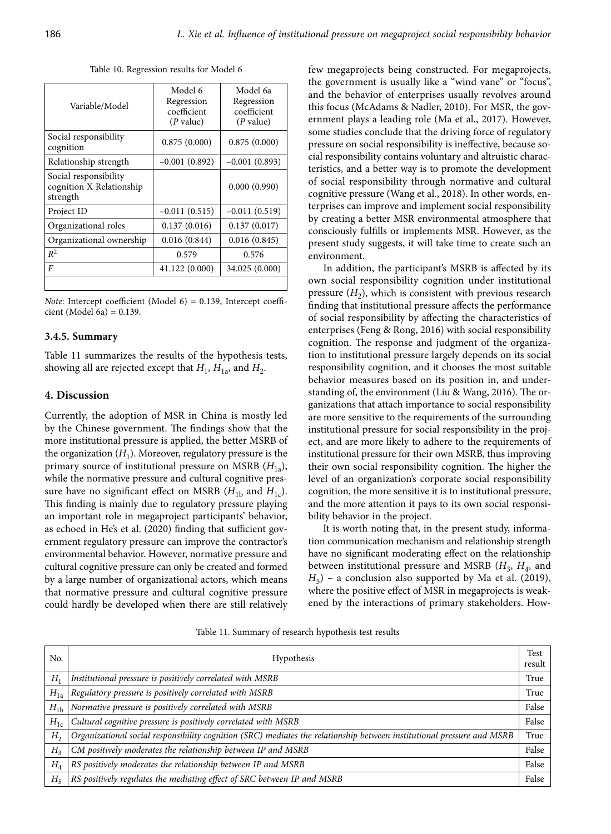Table 10. Regression results for Model 6

| Variable/Model                                                | Model 6<br>Regression<br>coefficient<br>$(P$ value) | Model 6a<br>Regression<br>coefficient<br>(P value) |
|---------------------------------------------------------------|-----------------------------------------------------|----------------------------------------------------|
| Social responsibility<br>cognition                            | 0.875(0.000)                                        | 0.875(0.000)                                       |
| Relationship strength                                         | $-0.001(0.892)$                                     | $-0.001(0.893)$                                    |
| Social responsibility<br>cognition X Relationship<br>strength |                                                     | 0.000(0.990)                                       |
| Project ID                                                    | $-0.011(0.515)$                                     | $-0.011(0.519)$                                    |
| Organizational roles                                          | 0.137(0.016)                                        | 0.137(0.017)                                       |
| Organizational ownership                                      | 0.016(0.844)                                        | 0.016(0.845)                                       |
| $R^2$                                                         | 0.579                                               | 0.576                                              |
| $\overline{F}$                                                | 41.122 (0.000)                                      | 34.025 (0.000)                                     |
|                                                               |                                                     |                                                    |

*Note*: Intercept coefficient (Model 6) = 0.139, Intercept coefficient (Model 6a) =  $0.139$ .

#### **3.4.5. Summary**

Table 11 summarizes the results of the hypothesis tests, showing all are rejected except that  $H_1$ ,  $H_{1a}$ , and  $H_2$ .

# **4. Discussion**

Currently, the adoption of MSR in China is mostly led by the Chinese government. The findings show that the more institutional pressure is applied, the better MSRB of the organization  $(H_1)$ . Moreover, regulatory pressure is the primary source of institutional pressure on MSRB ( $H_{1a}$ ), while the normative pressure and cultural cognitive pressure have no significant effect on MSRB  $(H_{1b}$  and  $H_{1c})$ . This finding is mainly due to regulatory pressure playing an important role in megaproject participants' behavior, as echoed in He's et al. (2020) finding that sufficient government regulatory pressure can improve the contractor's environmental behavior. However, normative pressure and cultural cognitive pressure can only be created and formed by a large number of organizational actors, which means that normative pressure and cultural cognitive pressure could hardly be developed when there are still relatively few megaprojects being constructed. For megaprojects, the government is usually like a "wind vane" or "focus", and the behavior of enterprises usually revolves around this focus (McAdams & Nadler, 2010). For MSR, the government plays a leading role (Ma et al., 2017). However, some studies conclude that the driving force of regulatory pressure on social responsibility is ineffective, because social responsibility contains voluntary and altruistic characteristics, and a better way is to promote the development of social responsibility through normative and cultural cognitive pressure (Wang et al., 2018). In other words, enterprises can improve and implement social responsibility by creating a better MSR environmental atmosphere that consciously fulfills or implements MSR. However, as the present study suggests, it will take time to create such an environment.

In addition, the participant's MSRB is affected by its own social responsibility cognition under institutional pressure  $(H_2)$ , which is consistent with previous research finding that institutional pressure affects the performance of social responsibility by affecting the characteristics of enterprises (Feng & Rong, 2016) with social responsibility cognition. The response and judgment of the organization to institutional pressure largely depends on its social responsibility cognition, and it chooses the most suitable behavior measures based on its position in, and understanding of, the environment (Liu & Wang, 2016). The organizations that attach importance to social responsibility are more sensitive to the requirements of the surrounding institutional pressure for social responsibility in the project, and are more likely to adhere to the requirements of institutional pressure for their own MSRB, thus improving their own social responsibility cognition. The higher the level of an organization's corporate social responsibility cognition, the more sensitive it is to institutional pressure, and the more attention it pays to its own social responsibility behavior in the project.

It is worth noting that, in the present study, information communication mechanism and relationship strength have no significant moderating effect on the relationship between institutional pressure and MSRB  $(H_3, H_4,$  and  $H_5$ ) – a conclusion also supported by Ma et al. (2019), where the positive effect of MSR in megaprojects is weakened by the interactions of primary stakeholders. How-

Table 11. Summary of research hypothesis test results

| No.                         | Hypothesis                                                                                                             | Test<br>result |
|-----------------------------|------------------------------------------------------------------------------------------------------------------------|----------------|
| $H_1$                       | Institutional pressure is positively correlated with MSRB                                                              | True           |
| $H_{1a}$                    | Regulatory pressure is positively correlated with MSRB                                                                 | True           |
| $H_{1b}$                    | Normative pressure is positively correlated with MSRB                                                                  | False          |
| $H_{1c}$                    | Cultural cognitive pressure is positively correlated with MSRB                                                         | False          |
| H <sub>2</sub>              | Organizational social responsibility cognition (SRC) mediates the relationship between institutional pressure and MSRB | True           |
| H <sub>3</sub>              | CM positively moderates the relationship between IP and MSRB                                                           | False          |
| $H_{\scriptscriptstyle{A}}$ | RS positively moderates the relationship between IP and MSRB                                                           | False          |
| $H_{5}$                     | RS positively regulates the mediating effect of SRC between IP and MSRB                                                | False          |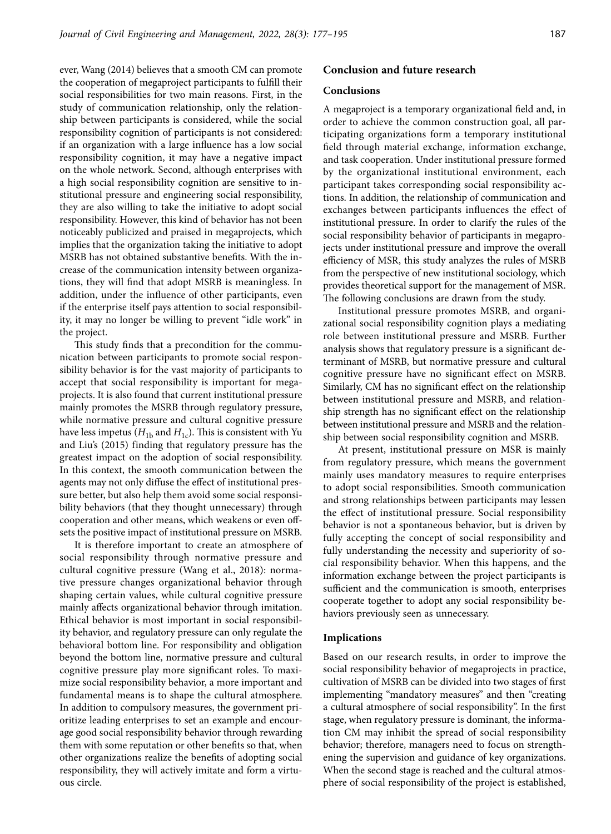ever, Wang (2014) believes that a smooth CM can promote the cooperation of megaproject participants to fulfill their social responsibilities for two main reasons. First, in the study of communication relationship, only the relationship between participants is considered, while the social responsibility cognition of participants is not considered: if an organization with a large influence has a low social responsibility cognition, it may have a negative impact on the whole network. Second, although enterprises with a high social responsibility cognition are sensitive to institutional pressure and engineering social responsibility, they are also willing to take the initiative to adopt social responsibility. However, this kind of behavior has not been noticeably publicized and praised in megaprojects, which implies that the organization taking the initiative to adopt MSRB has not obtained substantive benefits. With the increase of the communication intensity between organizations, they will find that adopt MSRB is meaningless. In addition, under the influence of other participants, even if the enterprise itself pays attention to social responsibility, it may no longer be willing to prevent "idle work" in the project.

This study finds that a precondition for the communication between participants to promote social responsibility behavior is for the vast majority of participants to accept that social responsibility is important for megaprojects. It is also found that current institutional pressure mainly promotes the MSRB through regulatory pressure, while normative pressure and cultural cognitive pressure have less impetus ( $H_{1b}$  and  $H_{1c}$ ). This is consistent with Yu and Liu's (2015) finding that regulatory pressure has the greatest impact on the adoption of social responsibility. In this context, the smooth communication between the agents may not only diffuse the effect of institutional pressure better, but also help them avoid some social responsibility behaviors (that they thought unnecessary) through cooperation and other means, which weakens or even offsets the positive impact of institutional pressure on MSRB.

It is therefore important to create an atmosphere of social responsibility through normative pressure and cultural cognitive pressure (Wang et al., 2018): normative pressure changes organizational behavior through shaping certain values, while cultural cognitive pressure mainly affects organizational behavior through imitation. Ethical behavior is most important in social responsibility behavior, and regulatory pressure can only regulate the behavioral bottom line. For responsibility and obligation beyond the bottom line, normative pressure and cultural cognitive pressure play more significant roles. To maximize social responsibility behavior, a more important and fundamental means is to shape the cultural atmosphere. In addition to compulsory measures, the government prioritize leading enterprises to set an example and encourage good social responsibility behavior through rewarding them with some reputation or other benefits so that, when other organizations realize the benefits of adopting social responsibility, they will actively imitate and form a virtuous circle.

# **Conclusion and future research**

#### **Conclusions**

A megaproject is a temporary organizational field and, in order to achieve the common construction goal, all participating organizations form a temporary institutional field through material exchange, information exchange, and task cooperation. Under institutional pressure formed by the organizational institutional environment, each participant takes corresponding social responsibility actions. In addition, the relationship of communication and exchanges between participants influences the effect of institutional pressure. In order to clarify the rules of the social responsibility behavior of participants in megaprojects under institutional pressure and improve the overall efficiency of MSR, this study analyzes the rules of MSRB from the perspective of new institutional sociology, which provides theoretical support for the management of MSR. The following conclusions are drawn from the study.

Institutional pressure promotes MSRB, and organizational social responsibility cognition plays a mediating role between institutional pressure and MSRB. Further analysis shows that regulatory pressure is a significant determinant of MSRB, but normative pressure and cultural cognitive pressure have no significant effect on MSRB. Similarly, CM has no significant effect on the relationship between institutional pressure and MSRB, and relationship strength has no significant effect on the relationship between institutional pressure and MSRB and the relationship between social responsibility cognition and MSRB.

At present, institutional pressure on MSR is mainly from regulatory pressure, which means the government mainly uses mandatory measures to require enterprises to adopt social responsibilities. Smooth communication and strong relationships between participants may lessen the effect of institutional pressure. Social responsibility behavior is not a spontaneous behavior, but is driven by fully accepting the concept of social responsibility and fully understanding the necessity and superiority of social responsibility behavior. When this happens, and the information exchange between the project participants is sufficient and the communication is smooth, enterprises cooperate together to adopt any social responsibility behaviors previously seen as unnecessary.

#### **Implications**

Based on our research results, in order to improve the social responsibility behavior of megaprojects in practice, cultivation of MSRB can be divided into two stages of first implementing "mandatory measures" and then "creating a cultural atmosphere of social responsibility". In the first stage, when regulatory pressure is dominant, the information CM may inhibit the spread of social responsibility behavior; therefore, managers need to focus on strengthening the supervision and guidance of key organizations. When the second stage is reached and the cultural atmosphere of social responsibility of the project is established,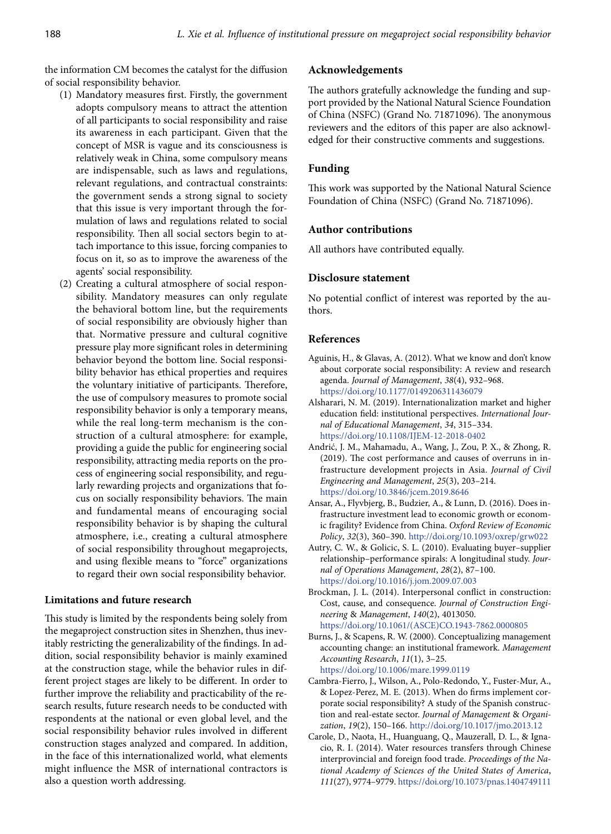the information CM becomes the catalyst for the diffusion of social responsibility behavior.

- (1) Mandatory measures first. Firstly, the government adopts compulsory means to attract the attention of all participants to social responsibility and raise its awareness in each participant. Given that the concept of MSR is vague and its consciousness is relatively weak in China, some compulsory means are indispensable, such as laws and regulations, relevant regulations, and contractual constraints: the government sends a strong signal to society that this issue is very important through the formulation of laws and regulations related to social responsibility. Then all social sectors begin to attach importance to this issue, forcing companies to focus on it, so as to improve the awareness of the agents' social responsibility.
- (2) Creating a cultural atmosphere of social responsibility. Mandatory measures can only regulate the behavioral bottom line, but the requirements of social responsibility are obviously higher than that. Normative pressure and cultural cognitive pressure play more significant roles in determining behavior beyond the bottom line. Social responsibility behavior has ethical properties and requires the voluntary initiative of participants. Therefore, the use of compulsory measures to promote social responsibility behavior is only a temporary means, while the real long-term mechanism is the construction of a cultural atmosphere: for example, providing a guide the public for engineering social responsibility, attracting media reports on the process of engineering social responsibility, and regularly rewarding projects and organizations that focus on socially responsibility behaviors. The main and fundamental means of encouraging social responsibility behavior is by shaping the cultural atmosphere, i.e., creating a cultural atmosphere of social responsibility throughout megaprojects, and using flexible means to "force" organizations to regard their own social responsibility behavior.

# **Limitations and future research**

This study is limited by the respondents being solely from the megaproject construction sites in Shenzhen, thus inevitably restricting the generalizability of the findings. In addition, social responsibility behavior is mainly examined at the construction stage, while the behavior rules in different project stages are likely to be different. In order to further improve the reliability and practicability of the research results, future research needs to be conducted with respondents at the national or even global level, and the social responsibility behavior rules involved in different construction stages analyzed and compared. In addition, in the face of this internationalized world, what elements might influence the MSR of international contractors is also a question worth addressing.

### **Acknowledgements**

The authors gratefully acknowledge the funding and support provided by the National Natural Science Foundation of China (NSFC) (Grand No. 71871096). The anonymous reviewers and the editors of this paper are also acknowledged for their constructive comments and suggestions.

## **Funding**

This work was supported by the National Natural Science Foundation of China (NSFC) (Grand No. 71871096).

# **Author contributions**

All authors have contributed equally.

# **Disclosure statement**

No potential conflict of interest was reported by the authors.

#### **References**

- Aguinis, H., & Glavas, A. (2012). What we know and don't know about corporate social responsibility: A review and research agenda. *Journal of Management*, *38*(4), 932–968. https://doi.org/10.1177/0149206311436079
- Alsharari, N. M. (2019). Internationalization market and higher education field: institutional perspectives. *International Journal of Educational Management*, *34*, 315–334. https://doi.org/10.1108/IJEM-12-2018-0402
- Andrić, J. M., Mahamadu, A., Wang, J., Zou, P. X., & Zhong, R. (2019). The cost performance and causes of overruns in infrastructure development projects in Asia. *Journal of Civil Engineering and Management*, *25*(3), 203–214. https://doi.org/10.3846/jcem.2019.8646
- Ansar, A., Flyvbjerg, B., Budzier, A., & Lunn, D. (2016). Does infrastructure investment lead to economic growth or economic fragility? Evidence from China. *Oxford Review of Economic Policy*, *32*(3), 360–390. http://doi.org/10.1093/oxrep/grw022
- Autry, C. W., & Golicic, S. L. (2010). Evaluating buyer–supplier relationship–performance spirals: A longitudinal study. *Journal of Operations Management*, *28*(2), 87–100. https://doi.org/10.1016/j.jom.2009.07.003
- Brockman, J. L. (2014). Interpersonal conflict in construction: Cost, cause, and consequence. *Journal of Construction Engineering* & *Management*, *140*(2), 4013050. https://doi.org/10.1061/(ASCE)CO.1943-7862.0000805
- Burns, J., & Scapens, R. W. (2000). Conceptualizing management accounting change: an institutional framework. *Management Accounting Research*, *11*(1), 3–25. https://doi.org/10.1006/mare.1999.0119
- Cambra-Fierro, J., Wilson, A., Polo-Redondo, Y., Fuster-Mur, A., & Lopez-Perez, M. E. (2013). When do firms implement corporate social responsibility? A study of the Spanish construction and real-estate sector. *Journal of Management* & *Organization*, *19*(2), 150–166. http://doi.org/10.1017/jmo.2013.12
- Carole, D., Naota, H., Huanguang, Q., Mauzerall, D. L., & Ignacio, R. I. (2014). Water resources transfers through Chinese interprovincial and foreign food trade. *Proceedings of the National Academy of Sciences of the United States of America*, *111*(27), 9774–9779. https://doi.org/10.1073/pnas.1404749111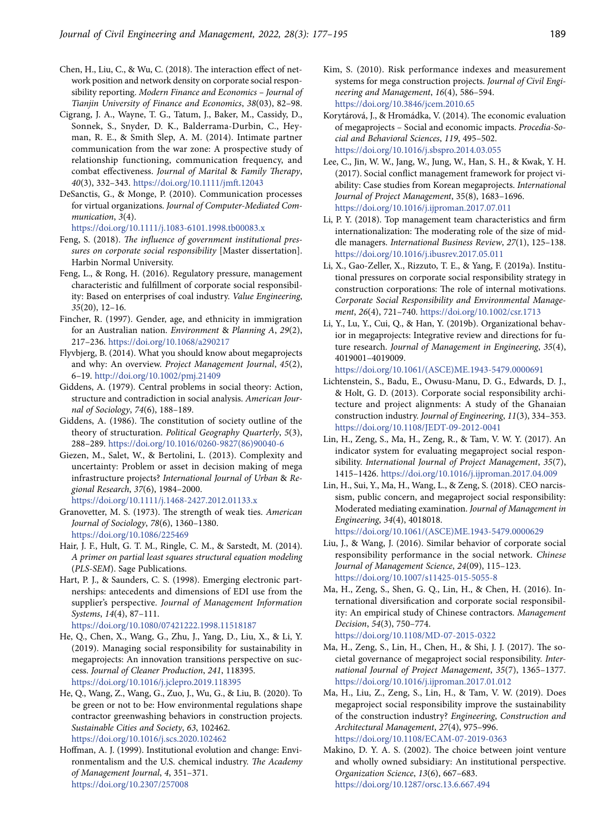- Chen, H., Liu, C., & Wu, C. (2018). The interaction effect of network position and network density on corporate social responsibility reporting. *Modern Finance and Economics – Journal of Tianjin University of Finance and Economics*, *38*(03), 82–98.
- Cigrang, J. A., Wayne, T. G., Tatum, J., Baker, M., Cassidy, D., Sonnek, S., Snyder, D. K., Balderrama-Durbin, C., Heyman, R. E., & Smith Slep, A. M. (2014). Intimate partner communication from the war zone: A prospective study of relationship functioning, communication frequency, and combat effectiveness. *Journal of Marital* & *Family Therapy*, *40*(3), 332–343. <https://doi.org/10.1111/jmft.12043>
- DeSanctis, G., & Monge, P. (2010). Communication processes for virtual organizations. *Journal of Computer-Mediated Communication*, *3*(4).

https://doi.org/10.1111/j.1083-6101.1998.tb00083.x

- Feng, S. (2018). *The influence of government institutional pressures on corporate social responsibility* [Master dissertation]. Harbin Normal University.
- Feng, L., & Rong, H. (2016). Regulatory pressure, management characteristic and fulfillment of corporate social responsibility: Based on enterprises of coal industry. *Value Engineering*, *35*(20), 12–16.
- Fincher, R. (1997). Gender, age, and ethnicity in immigration for an Australian nation. *Environment* & *Planning A*, *29*(2), 217–236. https://doi.org/10.1068/a290217
- Flyvbjerg, B. (2014). What you should know about megaprojects and why: An overview. *Project Management Journal*, *45*(2), 6–19. http://doi.org/10.1002/pmj.21409
- Giddens, A. (1979). Central problems in social theory: Action, structure and contradiction in social analysis. *American Journal of Sociology*, *74*(6), 188–189.
- Giddens, A. (1986). The constitution of society outline of the theory of structuration. *Political Geography Quarterly*, *5*(3), 288–289. https://doi.org/10.1016/0260-9827(86)90040-6
- Giezen, M., Salet, W., & Bertolini, L. (2013). Complexity and uncertainty: Problem or asset in decision making of mega infrastructure projects? *International Journal of Urban* & *Regional Research*, *37*(6), 1984–2000. https://doi.org/10.1111/j.1468-2427.2012.01133.x
- Granovetter, M. S. (1973). The strength of weak ties. *American Journal of Sociology*, *78*(6), 1360–1380.

https://doi.org/10.1086/225469

- Hair, J. F., Hult, G. T. M., Ringle, C. M., & Sarstedt, M. (2014). *A primer on partial least squares structural equation modeling*  (*PLS-SEM*). Sage Publications.
- Hart, P. J., & Saunders, C. S. (1998). Emerging electronic partnerships: antecedents and dimensions of EDI use from the supplier's perspective. *Journal of Management Information Systems*, *14*(4), 87–111. https://doi.org/10.1080/07421222.1998.11518187
- He, Q., Chen, X., Wang, G., Zhu, J., Yang, D., Liu, X., & Li, Y. (2019). Managing social responsibility for sustainability in megaprojects: An innovation transitions perspective on success. *Journal of Cleaner Production*, *241*, 118395. https://doi.org/10.1016/j.jclepro.2019.118395
- He, Q., Wang, Z., Wang, G., Zuo, J., Wu, G., & Liu, B. (2020). To be green or not to be: How environmental regulations shape contractor greenwashing behaviors in construction projects. *Sustainable Cities and Society*, *63*, 102462. https://doi.org/10.1016/j.scs.2020.102462
- Hoffman, A. J. (1999). Institutional evolution and change: Environmentalism and the U.S. chemical industry. *The Academy of Management Journal*, *4*, 351–371. https://doi.org/10.2307/257008
- Kim, S. (2010). Risk performance indexes and measurement systems for mega construction projects. *Journal of Civil Engineering and Management*, *16*(4), 586–594. https://doi.org/10.3846/jcem.2010.65
- Korytárová, J., & Hromádka, V. (2014). The economic evaluation of megaprojects – Social and economic impacts. *Procedia-Social and Behavioral Sciences*, *119*, 495–502. https://doi.org/10.1016/j.sbspro.2014.03.055
- Lee, C., Jin, W. W., Jang, W., Jung, W., Han, S. H., & Kwak, Y. H. (2017). Social conflict management framework for project viability: Case studies from Korean megaprojects. *International Journal of Project Management*, 35(8), 1683–1696. https://doi.org/10.1016/j.ijproman.2017.07.011
- Li, P. Y. (2018). Top management team characteristics and firm internationalization: The moderating role of the size of middle managers. *International Business Review*, *27*(1), 125–138. https://doi.org/10.1016/j.ibusrev.2017.05.011
- Li, X., Gao-Zeller, X., Rizzuto, T. E., & Yang, F. (2019a). Institutional pressures on corporate social responsibility strategy in construction corporations: The role of internal motivations. *Corporate Social Responsibility and Environmental Management*, *26*(4), 721–740. https://doi.org/10.1002/csr.1713
- Li, Y., Lu, Y., Cui, Q., & Han, Y. (2019b). Organizational behavior in megaprojects: Integrative review and directions for future research. *Journal of Management in Engineering*, *35*(4), 4019001–4019009.

https://doi.org/10.1061/(ASCE)ME.1943-5479.0000691

- Lichtenstein, S., Badu, E., Owusu-Manu, D. G., Edwards, D. J., & Holt, G. D. (2013). Corporate social responsibility architecture and project alignments: A study of the Ghanaian construction industry. *Journal of Engineering*, *11*(3), 334–353. https://doi.org/10.1108/JEDT-09-2012-0041
- Lin, H., Zeng, S., Ma, H., Zeng, R., & Tam, V. W. Y. (2017). An indicator system for evaluating megaproject social responsibility. *International Journal of Project Management*, *35*(7), 1415–1426. https://doi.org/10.1016/j.ijproman.2017.04.009
- Lin, H., Sui, Y., Ma, H., Wang, L., & Zeng, S. (2018). CEO narcissism, public concern, and megaproject social responsibility: Moderated mediating examination. *Journal of Management in Engineering*, *34*(4), 4018018.

https://doi.org/10.1061/(ASCE)ME.1943-5479.0000629

- Liu, J., & Wang, J. (2016). Similar behavior of corporate social responsibility performance in the social network. *Chinese Journal of Management Science*, *24*(09), 115–123. https://doi.org/10.1007/s11425-015-5055-8
- Ma, H., Zeng, S., Shen, G. Q., Lin, H., & Chen, H. (2016). International diversification and corporate social responsibility: An empirical study of Chinese contractors. *Management Decision*, *54*(3), 750–774. https://doi.org/10.1108/MD-07-2015-0322
- Ma, H., Zeng, S., Lin, H., Chen, H., & Shi, J. J. (2017). The societal governance of megaproject social responsibility. *International Journal of Project Management*, *35*(7), 1365–1377. https://doi.org/10.1016/j.ijproman.2017.01.012
- Ma, H., Liu, Z., Zeng, S., Lin, H., & Tam, V. W. (2019). Does megaproject social responsibility improve the sustainability of the construction industry? *Engineering*, *Construction and Architectural Management*, *27*(4), 975–996. https://doi.org/10.1108/ECAM-07-2019-0363
- Makino, D. Y. A. S. (2002). The choice between joint venture and wholly owned subsidiary: An institutional perspective. *Organization Science*, *13*(6), 667–683. https://doi.org/10.1287/orsc.13.6.667.494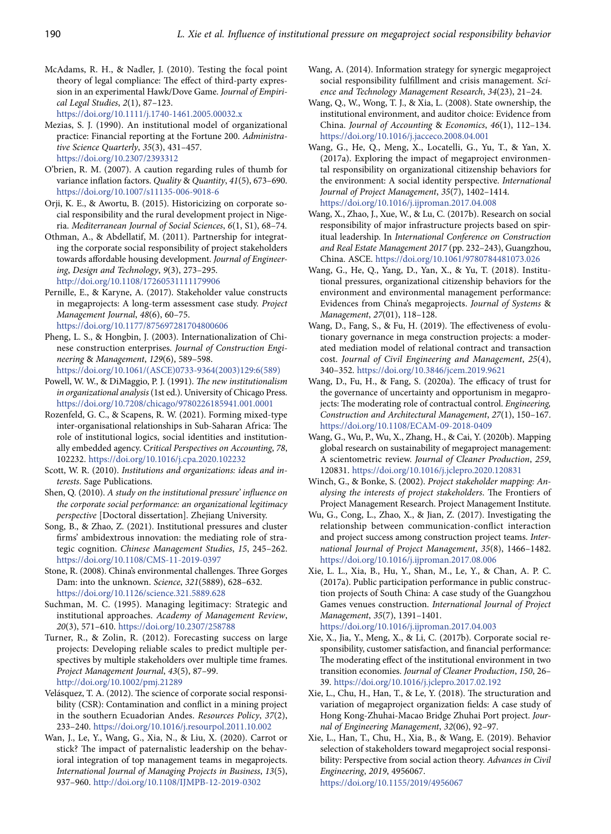- McAdams, R. H., & Nadler, J. (2010). Testing the focal point theory of legal compliance: The effect of third‐party expression in an experimental Hawk/Dove Game. *Journal of Empirical Legal Studies*, *2*(1), 87–123. https://doi.org/10.1111/j.1740-1461.2005.00032.x
- Mezias, S. J. (1990). An institutional model of organizational practice: Financial reporting at the Fortune 200. *Administrative Science Quarterly*, *35*(3), 431–457. https://doi.org/10.2307/2393312
- O'brien, R. M. (2007). A caution regarding rules of thumb for variance inflation factors. *Quality* & *Quantity*, *41*(5), 673–690. https://doi.org/10.1007/s11135-006-9018-6
- Orji, K. E., & Awortu, B. (2015). Historicizing on corporate social responsibility and the rural development project in Nigeria. *Mediterranean Journal of Social Sciences*, *6*(1, S1), 68–74.
- Othman, A., & Abdellatif, M. (2011). Partnership for integrating the corporate social responsibility of project stakeholders towards affordable housing development. *Journal of Engineering*, *Design and Technology*, *9*(3), 273–295. http://doi.org/10.1108/17260531111179906
- Pernille, E., & Karyne, A. (2017). Stakeholder value constructs in megaprojects: A long-term assessment case study. *Project Management Journal*, *48*(6), 60–75.

https://doi.org/10.1177/875697281704800606

- Pheng, L. S., & Hongbin, J. (2003). Internationalization of Chinese construction enterprises. *Journal of Construction Engineering* & *Management*, *129*(6), 589–598. https://doi.org/10.1061/(ASCE)0733-9364(2003)129:6(589)
- Powell, W. W., & DiMaggio, P. J. (1991). *The new institutionalism in organizational analysis* (1st ed.). University of Chicago Press. https://doi.org/10.7208/chicago/9780226185941.001.0001
- Rozenfeld, G. C., & Scapens, R. W. (2021). Forming mixed-type inter-organisational relationships in Sub-Saharan Africa: The role of institutional logics, social identities and institutionally embedded agency. C*ritical Perspectives on Accounting*, *78*, 102232. https://doi.org/10.1016/j.cpa.2020.102232
- Scott, W. R. (2010). *Institutions and organizations: ideas and interests*. Sage Publications.
- Shen, Q. (2010). *A study on the institutional pressure' influence on the corporate social performance: an organizational legitimacy perspective* [Doctoral dissertation]. Zhejiang University.
- Song, B., & Zhao, Z. (2021). Institutional pressures and cluster firms' ambidextrous innovation: the mediating role of strategic cognition. *Chinese Management Studies*, *15*, 245–262. https://doi.org/10.1108/CMS-11-2019-0397
- Stone, R. (2008). China's environmental challenges. Three Gorges Dam: into the unknown. *Science*, *321*(5889), 628–632. https://doi.org/10.1126/science.321.5889.628
- Suchman, M. C. (1995). Managing legitimacy: Strategic and institutional approaches. *Academy of Management Review*, *20*(3), 571–610. https://doi.org/10.2307/258788
- Turner, R., & Zolin, R. (2012). Forecasting success on large projects: Developing reliable scales to predict multiple perspectives by multiple stakeholders over multiple time frames. *Project Management Journal*, *43*(5), 87–99. http://doi.org/10.1002/pmj.21289
- Velásquez, T. A. (2012). The science of corporate social responsibility (CSR): Contamination and conflict in a mining project in the southern Ecuadorian Andes. *Resources Policy*, *37*(2), 233–240. https://doi.org/10.1016/j.resourpol.2011.10.002
- Wan, J., Le, Y., Wang, G., Xia, N., & Liu, X. (2020). Carrot or stick? The impact of paternalistic leadership on the behavioral integration of top management teams in megaprojects. *International Journal of Managing Projects in Business*, *13*(5), 937–960. http://doi.org/10.1108/IJMPB-12-2019-0302
- Wang, A. (2014). Information strategy for synergic megaproject social responsibility fulfillment and crisis management. *Science and Technology Management Research*, *34*(23), 21–24.
- Wang, Q., W., Wong, T. J., & Xia, L. (2008). State ownership, the institutional environment, and auditor choice: Evidence from China. *Journal of Accounting* & *Economics*, *46*(1), 112–134. https://doi.org/10.1016/j.jacceco.2008.04.001
- Wang, G., He, Q., Meng, X., Locatelli, G., Yu, T., & Yan, X. (2017a). Exploring the impact of megaproject environmental responsibility on organizational citizenship behaviors for the environment: A social identity perspective. *International Journal of Project Management*, *35*(7), 1402–1414. https://doi.org/10.1016/j.ijproman.2017.04.008
- Wang, X., Zhao, J., Xue, W., & Lu, C. (2017b). Research on social responsibility of major infrastructure projects based on spiritual leadership. In *International Conference on Construction and Real Estate Management 2017* (pp. 232–243), Guangzhou, China. ASCE. https://doi.org/10.1061/9780784481073.026
- Wang, G., He, Q., Yang, D., Yan, X., & Yu, T. (2018). Institutional pressures, organizational citizenship behaviors for the environment and environmental management performance: Evidences from China's megaprojects. *Journal of Systems* & *Management*, *27*(01), 118–128.
- Wang, D., Fang, S., & Fu, H. (2019). The effectiveness of evolutionary governance in mega construction projects: a moderated mediation model of relational contract and transaction cost. *Journal of Civil Engineering and Management*, *25*(4), 340–352. https://doi.org/10.3846/jcem.2019.9621
- Wang, D., Fu, H., & Fang, S. (2020a). The efficacy of trust for the governance of uncertainty and opportunism in megaprojects: The moderating role of contractual control. *Engineering, Construction and Architectural Management*, *27*(1), 150–167. https://doi.org/10.1108/ECAM-09-2018-0409
- Wang, G., Wu, P., Wu, X., Zhang, H., & Cai, Y. (2020b). Mapping global research on sustainability of megaproject management: A scientometric review. *Journal of Cleaner Production*, *259*, 120831. https://doi.org/10.1016/j.jclepro.2020.120831
- Winch, G., & Bonke, S. (2002). *Project stakeholder mapping: Analysing the interests of project stakeholders*. The Frontiers of Project Management Research. Project Management Institute.
- Wu, G., Cong, L., Zhao, X., & Jian, Z. (2017). Investigating the relationship between communication-conflict interaction and project success among construction project teams. *International Journal of Project Management*, *35*(8), 1466–1482. https://doi.org/10.1016/j.ijproman.2017.08.006
- Xie, L. L., Xia, B., Hu, Y., Shan, M., Le, Y., & Chan, A. P. C. (2017a). Public participation performance in public construction projects of South China: A case study of the Guangzhou Games venues construction. *International Journal of Project Management*, *35*(7), 1391–1401. https://doi.org/10.1016/j.ijproman.2017.04.003
- Xie, X., Jia, Y., Meng, X., & Li, C. (2017b). Corporate social responsibility, customer satisfaction, and financial performance: The moderating effect of the institutional environment in two transition economies. *Journal of Cleaner Production*, *150*, 26– 39. https://doi.org/10.1016/j.jclepro.2017.02.192
- Xie, L., Chu, H., Han, T., & Le, Y. (2018). The structuration and variation of megaproject organization fields: A case study of Hong Kong-Zhuhai-Macao Bridge Zhuhai Port project. *Journal of Engineering Management*, *32*(06), 92–97.
- Xie, L., Han, T., Chu, H., Xia, B., & Wang, E. (2019). Behavior selection of stakeholders toward megaproject social responsibility: Perspective from social action theory. *Advances in Civil Engineering*, *2019*, 4956067.

https://doi.org/10.1155/2019/4956067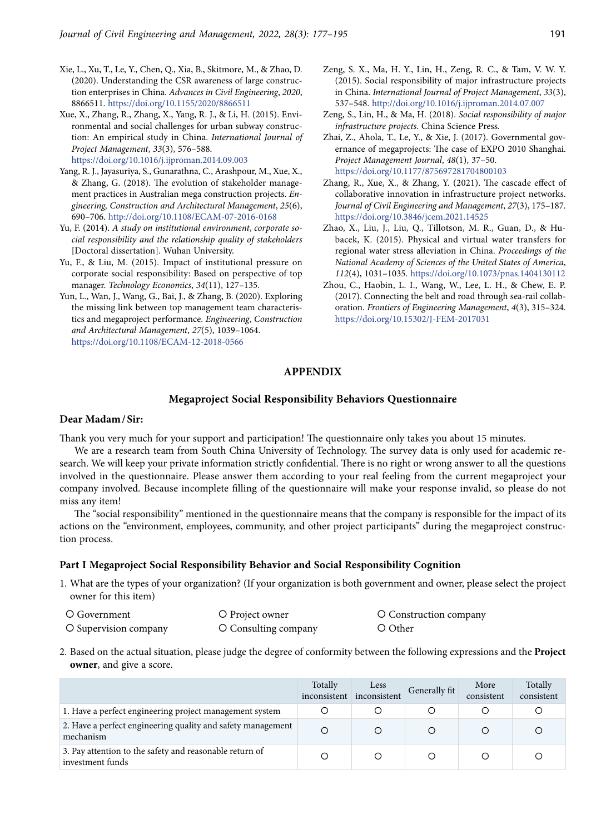- Xie, L., Xu, T., Le, Y., Chen, Q., Xia, B., Skitmore, M., & Zhao, D. (2020). Understanding the CSR awareness of large construction enterprises in China. *Advances in Civil Engineering*, *2020*, 8866511. https://doi.org/10.1155/2020/8866511
- Xue, X., Zhang, R., Zhang, X., Yang, R. J., & Li, H. (2015). Environmental and social challenges for urban subway construction: An empirical study in China. *International Journal of Project Management*, *33*(3), 576–588. https://doi.org/10.1016/j.ijproman.2014.09.003
- Yang, R. J., Jayasuriya, S., Gunarathna, C., Arashpour, M., Xue, X., & Zhang, G. (2018). The evolution of stakeholder management practices in Australian mega construction projects. *Engineering, Construction and Architectural Management*, *25*(6), 690–706. http://doi.org/10.1108/ECAM-07-2016-0168
- Yu, F. (2014). *A study on institutional environment*, *corporate social responsibility and the relationship quality of stakeholders* [Doctoral dissertation]. Wuhan University.
- Yu, F., & Liu, M. (2015). Impact of institutional pressure on corporate social responsibility: Based on perspective of top manager. *Technology Economics*, *34*(11), 127–135.
- Yun, L., Wan, J., Wang, G., Bai, J., & Zhang, B. (2020). Exploring the missing link between top management team characteristics and megaproject performance. *Engineering*, *Construction and Architectural Management*, *27*(5), 1039–1064. https://doi.org/10.1108/ECAM-12-2018-0566
- Zeng, S. X., Ma, H. Y., Lin, H., Zeng, R. C., & Tam, V. W. Y. (2015). Social responsibility of major infrastructure projects in China. *International Journal of Project Management*, *33*(3), 537–548. http://doi.org/10.1016/j.ijproman.2014.07.007
- Zeng, S., Lin, H., & Ma, H. (2018). *Social responsibility of major infrastructure projects*. China Science Press.
- Zhai, Z., Ahola, T., Le, Y., & Xie, J. (2017). Governmental governance of megaprojects: The case of EXPO 2010 Shanghai. *Project Management Journal*, *48*(1), 37–50. https://doi.org/10.1177/875697281704800103
- Zhang, R., Xue, X., & Zhang, Y. (2021). The cascade effect of collaborative innovation in infrastructure project networks. *Journal of Civil Engineering and Management*, *27*(3), 175–187. https://doi.org/10.3846/jcem.2021.14525
- Zhao, X., Liu, J., Liu, Q., Tillotson, M. R., Guan, D., & Hubacek, K. (2015). Physical and virtual water transfers for regional water stress alleviation in China. *Proceedings of the National Academy of Sciences of the United States of America*, *112*(4), 1031–1035. https://doi.org/10.1073/pnas.1404130112
- Zhou, C., Haobin, L. I., Wang, W., Lee, L. H., & Chew, E. P. (2017). Connecting the belt and road through sea-rail collaboration. *Frontiers of Engineering Management*, *4*(3), 315–324. https://doi.org/10.15302/J-FEM-2017031

# **APPENDIX**

#### **Megaproject Social Responsibility Behaviors Questionnaire**

## **Dear Madam/Sir:**

Thank you very much for your support and participation! The questionnaire only takes you about 15 minutes.

We are a research team from South China University of Technology. The survey data is only used for academic research. We will keep your private information strictly confidential. There is no right or wrong answer to all the questions involved in the questionnaire. Please answer them according to your real feeling from the current megaproject your company involved. Because incomplete filling of the questionnaire will make your response invalid, so please do not miss any item!

The "social responsibility" mentioned in the questionnaire means that the company is responsible for the impact of its actions on the "environment, employees, community, and other project participants" during the megaproject construction process.

#### **Part I Megaproject Social Responsibility Behavior and Social Responsibility Cognition**

1. What are the types of your organization? (If your organization is both government and owner, please select the project owner for this item)

| O Government          | O Project owner      | O Construction company |
|-----------------------|----------------------|------------------------|
| O Supervision company | O Consulting company | O Other                |

2. Based on the actual situation, please judge the degree of conformity between the following expressions and the **Project owner**, and give a score.

|                                                                             | Totally<br>inconsistent | Less<br>inconsistent | Generally fit | More<br>consistent | Totally<br>consistent |
|-----------------------------------------------------------------------------|-------------------------|----------------------|---------------|--------------------|-----------------------|
| 1. Have a perfect engineering project management system                     |                         |                      |               |                    |                       |
| 2. Have a perfect engineering quality and safety management<br>mechanism    |                         |                      |               |                    |                       |
| 3. Pay attention to the safety and reasonable return of<br>investment funds |                         |                      |               |                    |                       |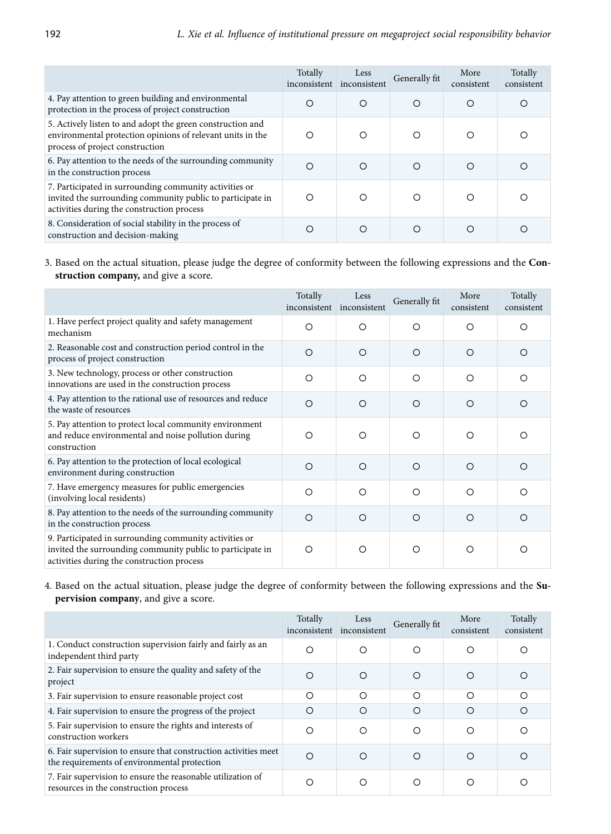|                                                                                                                                                                    | Totally<br>inconsistent | Less<br>inconsistent | Generally fit | More<br>consistent | Totally<br>consistent |
|--------------------------------------------------------------------------------------------------------------------------------------------------------------------|-------------------------|----------------------|---------------|--------------------|-----------------------|
| 4. Pay attention to green building and environmental<br>protection in the process of project construction                                                          | Ω                       | O                    | $\Omega$      | O                  | ∩                     |
| 5. Actively listen to and adopt the green construction and<br>environmental protection opinions of relevant units in the<br>process of project construction        | ∩                       | $\Omega$             | $\Omega$      | ∩                  |                       |
| 6. Pay attention to the needs of the surrounding community<br>in the construction process                                                                          | ∩                       | $\circ$              | ◯             | ∩                  |                       |
| 7. Participated in surrounding community activities or<br>invited the surrounding community public to participate in<br>activities during the construction process | ∩                       | O                    | $\circ$       | ∩                  |                       |
| 8. Consideration of social stability in the process of<br>construction and decision-making                                                                         |                         | ∩                    |               |                    |                       |

3. Based on the actual situation, please judge the degree of conformity between the following expressions and the **Construction company,** and give a score.

|                                                                                                                                                                    | Totally<br>inconsistent | Less<br>inconsistent | Generally fit | More<br>consistent | Totally<br>consistent |
|--------------------------------------------------------------------------------------------------------------------------------------------------------------------|-------------------------|----------------------|---------------|--------------------|-----------------------|
| 1. Have perfect project quality and safety management<br>mechanism                                                                                                 | $\Omega$                | $\circ$              | $\Omega$      | $\Omega$           | O                     |
| 2. Reasonable cost and construction period control in the<br>process of project construction                                                                       | $\circ$                 | $\Omega$             | $\Omega$      | $\circ$            | ◯                     |
| 3. New technology, process or other construction<br>innovations are used in the construction process                                                               | $\circ$                 | $\Omega$             | $\Omega$      | $\Omega$           | ◯                     |
| 4. Pay attention to the rational use of resources and reduce<br>the waste of resources                                                                             | $\circ$                 | $\circ$              | $\Omega$      | $\bigcirc$         | ∩                     |
| 5. Pay attention to protect local community environment<br>and reduce environmental and noise pollution during<br>construction                                     | $\circ$                 | $\circ$              | O             | $\circ$            | ◯                     |
| 6. Pay attention to the protection of local ecological<br>environment during construction                                                                          | $\circ$                 | $\bigcirc$           | $\bigcirc$    | $\bigcirc$         | ◯                     |
| 7. Have emergency measures for public emergencies<br>(involving local residents)                                                                                   | $\circ$                 | ∩                    | ◯             | ◯                  | ∩                     |
| 8. Pay attention to the needs of the surrounding community<br>in the construction process                                                                          | $\Omega$                | $\Omega$             | $\Omega$      | $\Omega$           | ◯                     |
| 9. Participated in surrounding community activities or<br>invited the surrounding community public to participate in<br>activities during the construction process | O                       | O                    | O             | O                  | Ω                     |

4. Based on the actual situation, please judge the degree of conformity between the following expressions and the **Supervision company**, and give a score.

|                                                                                                                 | Totally<br>inconsistent | Less<br>inconsistent | Generally fit | More<br>consistent | Totally<br>consistent |
|-----------------------------------------------------------------------------------------------------------------|-------------------------|----------------------|---------------|--------------------|-----------------------|
| 1. Conduct construction supervision fairly and fairly as an<br>independent third party                          | $\circ$                 | $\circ$              | O             | $\circ$            | O                     |
| 2. Fair supervision to ensure the quality and safety of the<br>project                                          | O                       | ◯                    | ◯             | ◯                  |                       |
| 3. Fair supervision to ensure reasonable project cost                                                           | O                       | $\circ$              | ◯             | ◯                  | ◯                     |
| 4. Fair supervision to ensure the progress of the project                                                       | O                       | $\circ$              | $\Omega$      | ◯                  | ◯                     |
| 5. Fair supervision to ensure the rights and interests of<br>construction workers                               | O                       | $\circ$              | $\circ$       | ◯                  | ◯                     |
| 6. Fair supervision to ensure that construction activities meet<br>the requirements of environmental protection | ◯                       | ∩                    | ∩             | ∩                  | ∩                     |
| 7. Fair supervision to ensure the reasonable utilization of<br>resources in the construction process            | O                       | $\circ$              | ∩             | ∩                  |                       |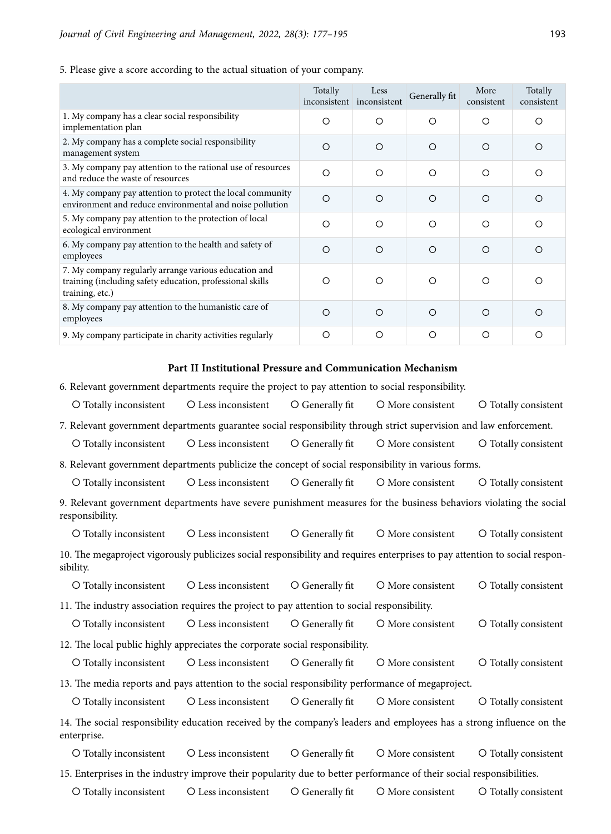5. Please give a score according to the actual situation of your company.

|                                                                                                                                       | Totally<br>inconsistent | Less<br>inconsistent | Generally fit | More<br>consistent | Totally<br>consistent |
|---------------------------------------------------------------------------------------------------------------------------------------|-------------------------|----------------------|---------------|--------------------|-----------------------|
| 1. My company has a clear social responsibility<br>implementation plan                                                                | $\Omega$                | ∩                    | ◯             | ◯                  | ∩                     |
| 2. My company has a complete social responsibility<br>management system                                                               | $\Omega$                | O                    | $\circ$       | $\circ$            | O                     |
| 3. My company pay attention to the rational use of resources<br>and reduce the waste of resources                                     | $\circ$                 | O                    | $\circ$       | $\circ$            | O                     |
| 4. My company pay attention to protect the local community<br>environment and reduce environmental and noise pollution                | $\Omega$                | $\Omega$             | $\bigcirc$    | $\bigcirc$         | ∩                     |
| 5. My company pay attention to the protection of local<br>ecological environment                                                      | $\Omega$                | O                    | $\circ$       | $\circ$            | ∩                     |
| 6. My company pay attention to the health and safety of<br>employees                                                                  | $\Omega$                | $\Omega$             | $\circ$       | $\circ$            | O                     |
| 7. My company regularly arrange various education and<br>training (including safety education, professional skills<br>training, etc.) | ∩                       | ∩                    | ◯             | ◯                  | ∩                     |
| 8. My company pay attention to the humanistic care of<br>employees                                                                    | ◯                       | ∩                    | $\bigcirc$    | ◯                  | ∩                     |
| 9. My company participate in charity activities regularly                                                                             | O                       | O                    | $\circ$       | O                  | Ω                     |

## **Part II Institutional Pressure and Communication Mechanism**

6. Relevant government departments require the project to pay attention to social responsibility.

- O Totally inconsistent Q Less inconsistent Q Generally fit Q More consistent Q Totally consistent
- 7. Relevant government departments guarantee social responsibility through strict supervision and law enforcement.
- O Totally inconsistent Q Less inconsistent Q Generally fit Q More consistent Q Totally consistent

8. Relevant government departments publicize the concept of social responsibility in various forms.

O Totally inconsistent Q Less inconsistent Q Generally fit Q More consistent Q Totally consistent

9. Relevant government departments have severe punishment measures for the business behaviors violating the social responsibility.

O Totally inconsistent Q Less inconsistent Q Generally fit Q More consistent Q Totally consistent 10. The megaproject vigorously publicizes social responsibility and requires enterprises to pay attention to social responsibility.

O Totally inconsistent Q Less inconsistent Q Generally fit Q More consistent Q Totally consistent

11. The industry association requires the project to pay attention to social responsibility.

O Totally inconsistent Q Less inconsistent Q Generally fit Q More consistent Q Totally consistent 12. The local public highly appreciates the corporate social responsibility.

O Totally inconsistent Q Less inconsistent Q Generally fit Q More consistent Q Totally consistent

13. The media reports and pays attention to the social responsibility performance of megaproject.

O Totally inconsistent Q Less inconsistent Q Generally fit Q More consistent Q Totally consistent

14. The social responsibility education received by the company's leaders and employees has a strong influence on the enterprise.

O Totally inconsistent C Less inconsistent C Generally fit C More consistent C Totally consistent 15. Enterprises in the industry improve their popularity due to better performance of their social responsibilities.

```
O Totally inconsistent  Q Less inconsistent  Q Generally fit  Q More consistent  Q Totally consistent
```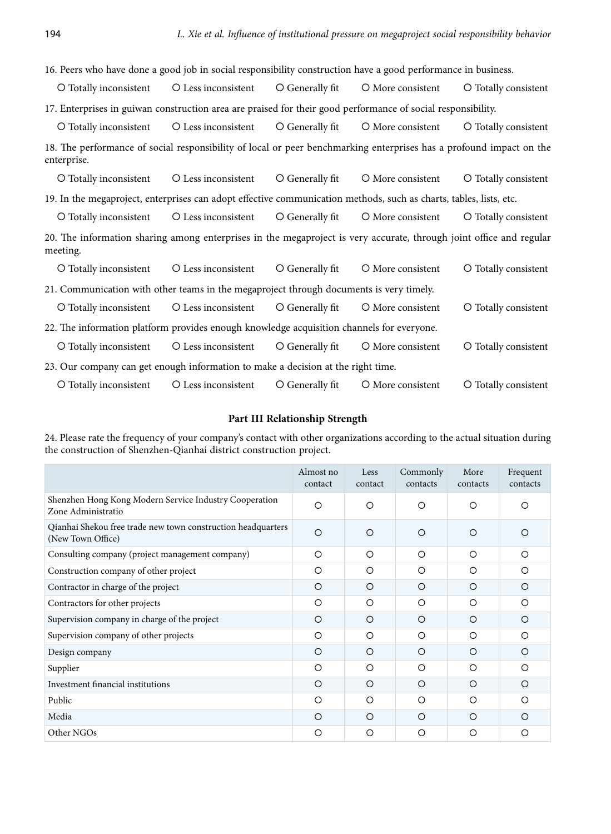16. Peers who have done a good job in social responsibility construction have a good performance in business.

| O Totally inconsistent                                                                                       | O Less inconsistent O Generally fit | O More consistent | O Totally consistent |
|--------------------------------------------------------------------------------------------------------------|-------------------------------------|-------------------|----------------------|
| 17. Enterprises in guiwan construction area are praised for their good performance of social responsibility. |                                     |                   |                      |

O Totally inconsistent Q Less inconsistent Q Generally fit Q More consistent Q Totally consistent 18. The performance of social responsibility of local or peer benchmarking enterprises has a profound impact on the enterprise.

O Totally inconsistent Q Less inconsistent Q Generally fit Q More consistent Q Totally consistent 19. In the megaproject, enterprises can adopt effective communication methods, such as charts, tables, lists, etc.

O Totally inconsistent Q Less inconsistent Q Generally fit Q More consistent Q Totally consistent

20. The information sharing among enterprises in the megaproject is very accurate, through joint office and regular meeting.

O Totally inconsistent Q Less inconsistent Q Generally fit Q More consistent Q Totally consistent

21. Communication with other teams in the megaproject through documents is very timely.

| O Totally inconsistent O Less inconsistent O Generally fit                                |  | O More consistent | O Totally consistent |
|-------------------------------------------------------------------------------------------|--|-------------------|----------------------|
| 22. The information platform provides enough knowledge acquisition channels for everyone. |  |                   |                      |
| O Totally inconsistent O Less inconsistent O Generally fit O More consistent              |  |                   | O Totally consistent |
| 23. Our company can get enough information to make a decision at the right time.          |  |                   |                      |

O Totally inconsistent Q Less inconsistent Q Generally fit Q More consistent Q Totally consistent

# **Part III Relationship Strength**

24. Please rate the frequency of your company's contact with other organizations according to the actual situation during the construction of Shenzhen-Qianhai district construction project.

|                                                                                   | Almost no<br>contact | Less<br>contact | Commonly<br>contacts | More<br>contacts | Frequent<br>contacts |
|-----------------------------------------------------------------------------------|----------------------|-----------------|----------------------|------------------|----------------------|
| Shenzhen Hong Kong Modern Service Industry Cooperation<br>Zone Administratio      | $\circ$              | $\circ$         | $\circ$              | $\Omega$         | $\Omega$             |
| Qianhai Shekou free trade new town construction headquarters<br>(New Town Office) | $\Omega$             | $\Omega$        | $\Omega$             | $\Omega$         | $\bigcirc$           |
| Consulting company (project management company)                                   | $\circ$              | $\circ$         | $\circ$              | O                | $\circ$              |
| Construction company of other project                                             | O                    | O               | O                    | O                | O                    |
| Contractor in charge of the project                                               | $\Omega$             | $\Omega$        | $\Omega$             | $\Omega$         | $\Omega$             |
| Contractors for other projects                                                    | O                    | $\circ$         | $\circ$              | $\Omega$         | $\Omega$             |
| Supervision company in charge of the project                                      | O                    | $\Omega$        | O                    | O                | $\circ$              |
| Supervision company of other projects                                             | $\Omega$             | $\circ$         | $\Omega$             | $\Omega$         | $\Omega$             |
| Design company                                                                    | O                    | $\Omega$        | $\circ$              | $\circ$          | O                    |
| Supplier                                                                          | O                    | $\circ$         | O                    | O                | O                    |
| Investment financial institutions                                                 | $\Omega$             | $\Omega$        | $\Omega$             | $\Omega$         | $\Omega$             |
| Public                                                                            | $\circ$              | $\circ$         | O                    | O                | $\circ$              |
| Media                                                                             | $\circ$              | $\Omega$        | $\circ$              | $\Omega$         | O                    |
| Other NGOs                                                                        | O                    | O               | $\Omega$             | $\circ$          | $\Omega$             |